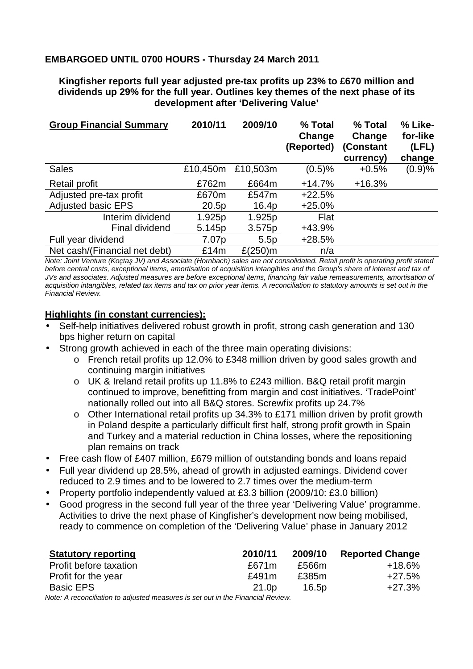# **EMBARGOED UNTIL 0700 HOURS - Thursday 24 March 2011**

#### **Kingfisher reports full year adjusted pre-tax profits up 23% to £670 million and dividends up 29% for the full year. Outlines key themes of the next phase of its development after 'Delivering Value'**

| <b>Group Financial Summary</b> | 2010/11  | 2009/10  | % Total<br>Change<br>(Reported) | % Total<br>Change<br>(Constant<br>currency) | % Like-<br>for-like<br>(LFL)<br>change |
|--------------------------------|----------|----------|---------------------------------|---------------------------------------------|----------------------------------------|
| <b>Sales</b>                   | £10,450m | £10,503m | (0.5)%                          | $+0.5%$                                     | (0.9)%                                 |
| Retail profit                  | £762m    | £664m    | $+14.7%$                        | $+16.3%$                                    |                                        |
| Adjusted pre-tax profit        | £670m    | £547m    | $+22.5%$                        |                                             |                                        |
| <b>Adjusted basic EPS</b>      | 20.5p    | 16.4p    | $+25.0%$                        |                                             |                                        |
| Interim dividend               | 1.925p   | 1.925p   | Flat                            |                                             |                                        |
| <b>Final dividend</b>          | 5.145p   | 3.575p   | +43.9%                          |                                             |                                        |
| Full year dividend             | 7.07p    | 5.5p     | $+28.5%$                        |                                             |                                        |
| Net cash/(Financial net debt)  | £14m     | £(250)m  | n/a                             |                                             |                                        |

Note: Joint Venture (Koçtaş JV) and Associate (Hornbach) sales are not consolidated. Retail profit is operating profit stated before central costs, exceptional items, amortisation of acquisition intangibles and the Group's share of interest and tax of JVs and associates. Adjusted measures are before exceptional items, financing fair value remeasurements, amortisation of acquisition intangibles, related tax items and tax on prior year items. A reconciliation to statutory amounts is set out in the Financial Review.

# **Highlights (in constant currencies):**

- Self-help initiatives delivered robust growth in profit, strong cash generation and 130 bps higher return on capital
- Strong growth achieved in each of the three main operating divisions:
	- o French retail profits up 12.0% to £348 million driven by good sales growth and continuing margin initiatives
	- o UK & Ireland retail profits up 11.8% to £243 million. B&Q retail profit margin continued to improve, benefitting from margin and cost initiatives. 'TradePoint' nationally rolled out into all B&Q stores. Screwfix profits up 24.7%
	- o Other International retail profits up 34.3% to £171 million driven by profit growth in Poland despite a particularly difficult first half, strong profit growth in Spain and Turkey and a material reduction in China losses, where the repositioning plan remains on track
- Free cash flow of £407 million, £679 million of outstanding bonds and loans repaid
- Full year dividend up 28.5%, ahead of growth in adjusted earnings. Dividend cover reduced to 2.9 times and to be lowered to 2.7 times over the medium-term
- Property portfolio independently valued at £3.3 billion (2009/10: £3.0 billion)
- Good progress in the second full year of the three year 'Delivering Value' programme. Activities to drive the next phase of Kingfisher's development now being mobilised, ready to commence on completion of the 'Delivering Value' phase in January 2012

| 2010/11           | 2009/10 | <b>Reported Change</b> |
|-------------------|---------|------------------------|
| £671m             | £566m   | $+18.6%$               |
| £491 $m$          | £385m   | +27.5%                 |
| 21.0 <sub>p</sub> | 16.5p   | $+27.3%$               |
|                   |         |                        |

Note: A reconciliation to adjusted measures is set out in the Financial Review.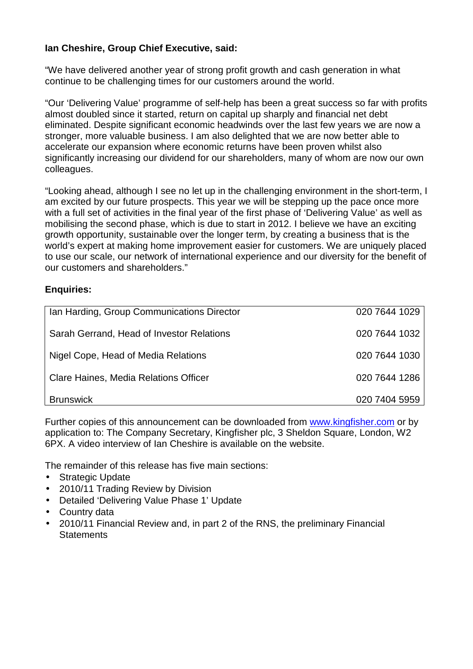# **Ian Cheshire, Group Chief Executive, said:**

"We have delivered another year of strong profit growth and cash generation in what continue to be challenging times for our customers around the world.

"Our 'Delivering Value' programme of self-help has been a great success so far with profits almost doubled since it started, return on capital up sharply and financial net debt eliminated. Despite significant economic headwinds over the last few years we are now a stronger, more valuable business. I am also delighted that we are now better able to accelerate our expansion where economic returns have been proven whilst also significantly increasing our dividend for our shareholders, many of whom are now our own colleagues.

"Looking ahead, although I see no let up in the challenging environment in the short-term, I am excited by our future prospects. This year we will be stepping up the pace once more with a full set of activities in the final year of the first phase of 'Delivering Value' as well as mobilising the second phase, which is due to start in 2012. I believe we have an exciting growth opportunity, sustainable over the longer term, by creating a business that is the world's expert at making home improvement easier for customers. We are uniquely placed to use our scale, our network of international experience and our diversity for the benefit of our customers and shareholders."

#### **Enquiries:**

| Ian Harding, Group Communications Director | 020 7644 1029 |
|--------------------------------------------|---------------|
| Sarah Gerrand, Head of Investor Relations  | 020 7644 1032 |
| Nigel Cope, Head of Media Relations        | 020 7644 1030 |
| Clare Haines, Media Relations Officer      | 020 7644 1286 |
| <b>Brunswick</b>                           | 020 7404 5959 |

Further copies of this announcement can be downloaded from www.kingfisher.com or by application to: The Company Secretary, Kingfisher plc, 3 Sheldon Square, London, W2 6PX. A video interview of Ian Cheshire is available on the website.

The remainder of this release has five main sections:

- Strategic Update
- 2010/11 Trading Review by Division
- Detailed 'Delivering Value Phase 1' Update
- Country data
- 2010/11 Financial Review and, in part 2 of the RNS, the preliminary Financial **Statements**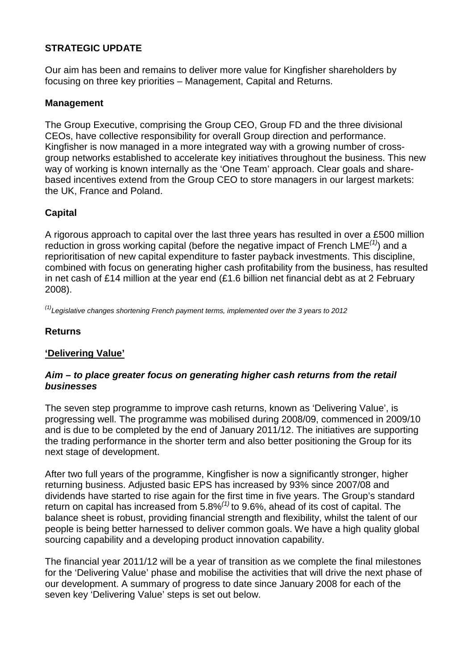# **STRATEGIC UPDATE**

Our aim has been and remains to deliver more value for Kingfisher shareholders by focusing on three key priorities – Management, Capital and Returns.

#### **Management**

The Group Executive, comprising the Group CEO, Group FD and the three divisional CEOs, have collective responsibility for overall Group direction and performance. Kingfisher is now managed in a more integrated way with a growing number of crossgroup networks established to accelerate key initiatives throughout the business. This new way of working is known internally as the 'One Team' approach. Clear goals and sharebased incentives extend from the Group CEO to store managers in our largest markets: the UK, France and Poland.

# **Capital**

A rigorous approach to capital over the last three years has resulted in over a £500 million reduction in gross working capital (before the negative impact of French LME $^{(1)}$ ) and a reprioritisation of new capital expenditure to faster payback investments. This discipline, combined with focus on generating higher cash profitability from the business, has resulted in net cash of £14 million at the year end (£1.6 billion net financial debt as at 2 February 2008).

 $<sup>(1)</sup>$ Legislative changes shortening French payment terms, implemented over the 3 years to 2012</sup>

#### **Returns**

#### **'Delivering Value'**

#### **Aim – to place greater focus on generating higher cash returns from the retail businesses**

The seven step programme to improve cash returns, known as 'Delivering Value', is progressing well. The programme was mobilised during 2008/09, commenced in 2009/10 and is due to be completed by the end of January 2011/12. The initiatives are supporting the trading performance in the shorter term and also better positioning the Group for its next stage of development.

After two full years of the programme, Kingfisher is now a significantly stronger, higher returning business. Adjusted basic EPS has increased by 93% since 2007/08 and dividends have started to rise again for the first time in five years. The Group's standard return on capital has increased from  $5.8\%^{(1)}$  to 9.6%, ahead of its cost of capital. The balance sheet is robust, providing financial strength and flexibility, whilst the talent of our people is being better harnessed to deliver common goals. We have a high quality global sourcing capability and a developing product innovation capability.

The financial year 2011/12 will be a year of transition as we complete the final milestones for the 'Delivering Value' phase and mobilise the activities that will drive the next phase of our development. A summary of progress to date since January 2008 for each of the seven key 'Delivering Value' steps is set out below.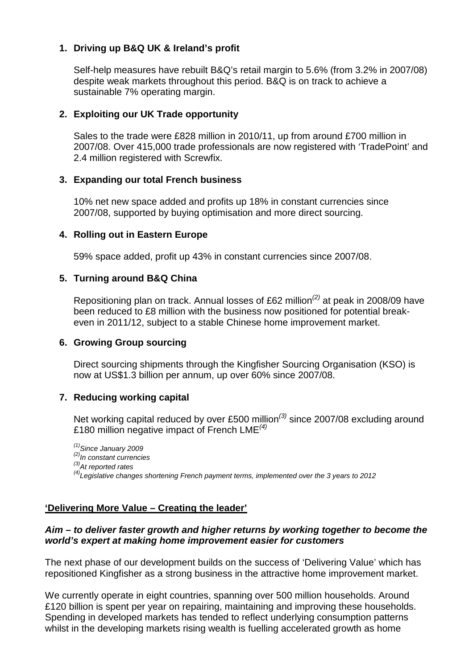# **1. Driving up B&Q UK & Ireland's profit**

Self-help measures have rebuilt B&Q's retail margin to 5.6% (from 3.2% in 2007/08) despite weak markets throughout this period. B&Q is on track to achieve a sustainable 7% operating margin.

#### **2. Exploiting our UK Trade opportunity**

Sales to the trade were £828 million in 2010/11, up from around £700 million in 2007/08. Over 415,000 trade professionals are now registered with 'TradePoint' and 2.4 million registered with Screwfix.

#### **3. Expanding our total French business**

10% net new space added and profits up 18% in constant currencies since 2007/08, supported by buying optimisation and more direct sourcing.

# **4. Rolling out in Eastern Europe**

59% space added, profit up 43% in constant currencies since 2007/08.

#### **5. Turning around B&Q China**

Repositioning plan on track. Annual losses of £62 million<sup>(2)</sup> at peak in 2008/09 have been reduced to £8 million with the business now positioned for potential breakeven in 2011/12, subject to a stable Chinese home improvement market.

#### **6. Growing Group sourcing**

Direct sourcing shipments through the Kingfisher Sourcing Organisation (KSO) is now at US\$1.3 billion per annum, up over 60% since 2007/08.

# **7. Reducing working capital**

Net working capital reduced by over £500 million<sup>(3)</sup> since 2007/08 excluding around £180 million negative impact of French LME<sup>(4)</sup>

 $<sup>(1)</sup>$ Since January 2009</sup>  $<sup>(2)</sup>$ In constant currencies</sup>  $^{(3)}$ At reported rates  $<sup>(4)</sup>$ Legislative changes shortening French payment terms, implemented over the 3 years to 2012</sup>

# **'Delivering More Value – Creating the leader'**

#### **Aim – to deliver faster growth and higher returns by working together to become the world's expert at making home improvement easier for customers**

The next phase of our development builds on the success of 'Delivering Value' which has repositioned Kingfisher as a strong business in the attractive home improvement market.

We currently operate in eight countries, spanning over 500 million households. Around £120 billion is spent per year on repairing, maintaining and improving these households. Spending in developed markets has tended to reflect underlying consumption patterns whilst in the developing markets rising wealth is fuelling accelerated growth as home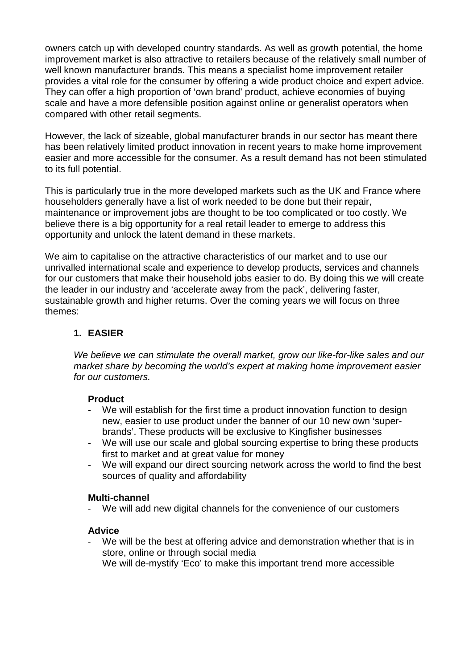owners catch up with developed country standards. As well as growth potential, the home improvement market is also attractive to retailers because of the relatively small number of well known manufacturer brands. This means a specialist home improvement retailer provides a vital role for the consumer by offering a wide product choice and expert advice. They can offer a high proportion of 'own brand' product, achieve economies of buying scale and have a more defensible position against online or generalist operators when compared with other retail segments.

However, the lack of sizeable, global manufacturer brands in our sector has meant there has been relatively limited product innovation in recent years to make home improvement easier and more accessible for the consumer. As a result demand has not been stimulated to its full potential.

This is particularly true in the more developed markets such as the UK and France where householders generally have a list of work needed to be done but their repair, maintenance or improvement jobs are thought to be too complicated or too costly. We believe there is a big opportunity for a real retail leader to emerge to address this opportunity and unlock the latent demand in these markets.

We aim to capitalise on the attractive characteristics of our market and to use our unrivalled international scale and experience to develop products, services and channels for our customers that make their household jobs easier to do. By doing this we will create the leader in our industry and 'accelerate away from the pack', delivering faster, sustainable growth and higher returns. Over the coming years we will focus on three themes:

# **1. EASIER**

We believe we can stimulate the overall market, grow our like-for-like sales and our market share by becoming the world's expert at making home improvement easier for our customers.

# **Product**

- We will establish for the first time a product innovation function to design new, easier to use product under the banner of our 10 new own 'superbrands'. These products will be exclusive to Kingfisher businesses
- We will use our scale and global sourcing expertise to bring these products first to market and at great value for money
- We will expand our direct sourcing network across the world to find the best sources of quality and affordability

#### **Multi-channel**

- We will add new digital channels for the convenience of our customers

#### **Advice**

We will be the best at offering advice and demonstration whether that is in store, online or through social media We will de-mystify 'Eco' to make this important trend more accessible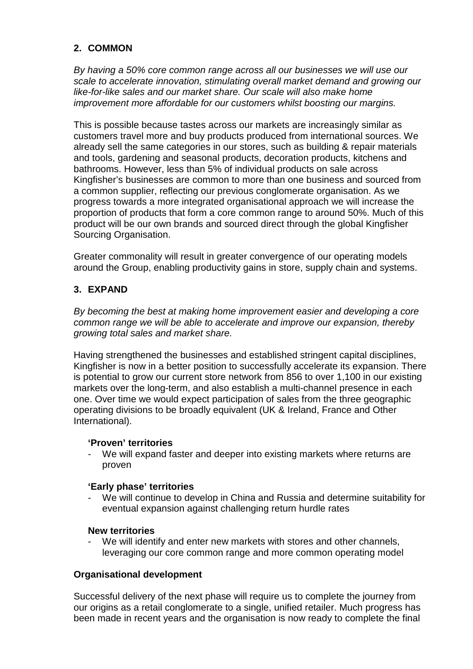# **2. COMMON**

By having a 50% core common range across all our businesses we will use our scale to accelerate innovation, stimulating overall market demand and growing our like-for-like sales and our market share. Our scale will also make home improvement more affordable for our customers whilst boosting our margins.

This is possible because tastes across our markets are increasingly similar as customers travel more and buy products produced from international sources. We already sell the same categories in our stores, such as building & repair materials and tools, gardening and seasonal products, decoration products, kitchens and bathrooms. However, less than 5% of individual products on sale across Kingfisher's businesses are common to more than one business and sourced from a common supplier, reflecting our previous conglomerate organisation. As we progress towards a more integrated organisational approach we will increase the proportion of products that form a core common range to around 50%. Much of this product will be our own brands and sourced direct through the global Kingfisher Sourcing Organisation.

Greater commonality will result in greater convergence of our operating models around the Group, enabling productivity gains in store, supply chain and systems.

# **3. EXPAND**

By becoming the best at making home improvement easier and developing a core common range we will be able to accelerate and improve our expansion, thereby growing total sales and market share.

Having strengthened the businesses and established stringent capital disciplines, Kingfisher is now in a better position to successfully accelerate its expansion. There is potential to grow our current store network from 856 to over 1,100 in our existing markets over the long-term, and also establish a multi-channel presence in each one. Over time we would expect participation of sales from the three geographic operating divisions to be broadly equivalent (UK & Ireland, France and Other International).

#### **'Proven' territories**

We will expand faster and deeper into existing markets where returns are proven

#### **'Early phase' territories**

We will continue to develop in China and Russia and determine suitability for eventual expansion against challenging return hurdle rates

#### **New territories**

We will identify and enter new markets with stores and other channels, leveraging our core common range and more common operating model

# **Organisational development**

Successful delivery of the next phase will require us to complete the journey from our origins as a retail conglomerate to a single, unified retailer. Much progress has been made in recent years and the organisation is now ready to complete the final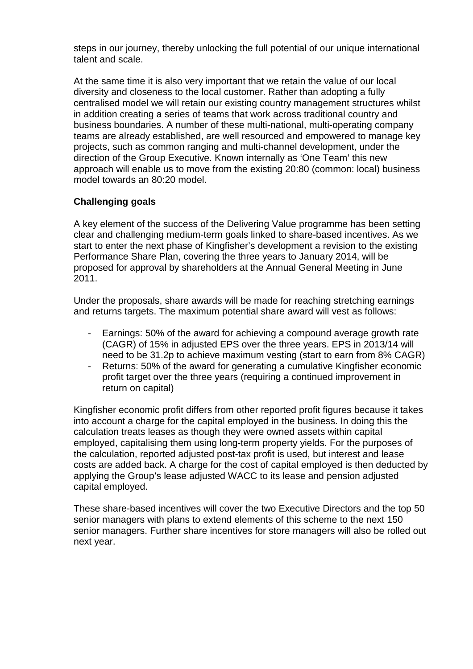steps in our journey, thereby unlocking the full potential of our unique international talent and scale.

At the same time it is also very important that we retain the value of our local diversity and closeness to the local customer. Rather than adopting a fully centralised model we will retain our existing country management structures whilst in addition creating a series of teams that work across traditional country and business boundaries. A number of these multi-national, multi-operating company teams are already established, are well resourced and empowered to manage key projects, such as common ranging and multi-channel development, under the direction of the Group Executive. Known internally as 'One Team' this new approach will enable us to move from the existing 20:80 (common: local) business model towards an 80:20 model.

# **Challenging goals**

A key element of the success of the Delivering Value programme has been setting clear and challenging medium-term goals linked to share-based incentives. As we start to enter the next phase of Kingfisher's development a revision to the existing Performance Share Plan, covering the three years to January 2014, will be proposed for approval by shareholders at the Annual General Meeting in June 2011.

Under the proposals, share awards will be made for reaching stretching earnings and returns targets. The maximum potential share award will vest as follows:

- Earnings: 50% of the award for achieving a compound average growth rate (CAGR) of 15% in adjusted EPS over the three years. EPS in 2013/14 will need to be 31.2p to achieve maximum vesting (start to earn from 8% CAGR)
- Returns: 50% of the award for generating a cumulative Kingfisher economic profit target over the three years (requiring a continued improvement in return on capital)

Kingfisher economic profit differs from other reported profit figures because it takes into account a charge for the capital employed in the business. In doing this the calculation treats leases as though they were owned assets within capital employed, capitalising them using long-term property yields. For the purposes of the calculation, reported adjusted post-tax profit is used, but interest and lease costs are added back. A charge for the cost of capital employed is then deducted by applying the Group's lease adjusted WACC to its lease and pension adjusted capital employed.

These share-based incentives will cover the two Executive Directors and the top 50 senior managers with plans to extend elements of this scheme to the next 150 senior managers. Further share incentives for store managers will also be rolled out next year.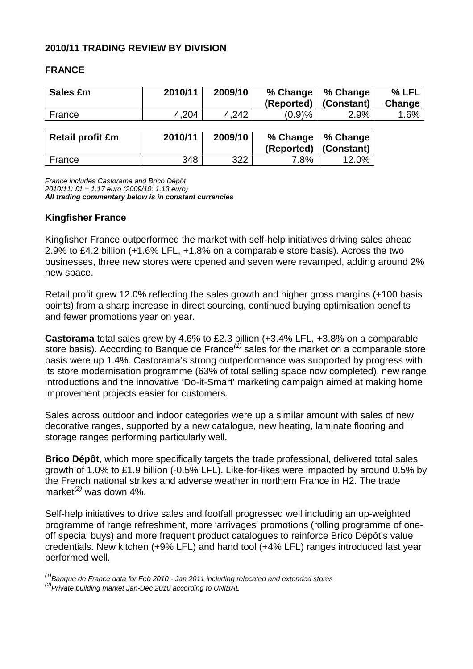### **2010/11 TRADING REVIEW BY DIVISION**

#### **FRANCE**

| Sales £m                | 2010/11 | 2009/10 | % Change   | % Change   | % LFL  |
|-------------------------|---------|---------|------------|------------|--------|
|                         |         |         | (Reported) | (Constant) | Change |
| France                  | 4,204   | 4,242   | (0.9)%     | 2.9%       | 1.6%   |
|                         |         |         |            |            |        |
| <b>Retail profit £m</b> | 2010/11 | 2009/10 | % Change   | % Change   |        |
|                         |         |         | (Reported) | (Constant) |        |
| France                  | 348     | 322     | 7.8%       | 12.0%      |        |

France includes Castorama and Brico Dépôt 2010/11: £1 = 1.17 euro (2009/10: 1.13 euro) **All trading commentary below is in constant currencies** 

#### **Kingfisher France**

Kingfisher France outperformed the market with self-help initiatives driving sales ahead 2.9% to £4.2 billion (+1.6% LFL, +1.8% on a comparable store basis). Across the two businesses, three new stores were opened and seven were revamped, adding around 2% new space.

Retail profit grew 12.0% reflecting the sales growth and higher gross margins (+100 basis points) from a sharp increase in direct sourcing, continued buying optimisation benefits and fewer promotions year on year.

**Castorama** total sales grew by 4.6% to £2.3 billion (+3.4% LFL, +3.8% on a comparable store basis). According to Banque de France<sup> $(1)$ </sup> sales for the market on a comparable store basis were up 1.4%. Castorama's strong outperformance was supported by progress with its store modernisation programme (63% of total selling space now completed), new range introductions and the innovative 'Do-it-Smart' marketing campaign aimed at making home improvement projects easier for customers.

Sales across outdoor and indoor categories were up a similar amount with sales of new decorative ranges, supported by a new catalogue, new heating, laminate flooring and storage ranges performing particularly well.

**Brico Dépôt**, which more specifically targets the trade professional, delivered total sales growth of 1.0% to £1.9 billion (-0.5% LFL). Like-for-likes were impacted by around 0.5% by the French national strikes and adverse weather in northern France in H2. The trade market<sup>(2)</sup> was down 4%.

Self-help initiatives to drive sales and footfall progressed well including an up-weighted programme of range refreshment, more 'arrivages' promotions (rolling programme of oneoff special buys) and more frequent product catalogues to reinforce Brico Dépôt's value credentials. New kitchen (+9% LFL) and hand tool (+4% LFL) ranges introduced last year performed well.

 $<sup>(1)</sup>$ Banque de France data for Feb 2010 - Jan 2011 including relocated and extended stores</sup>  $^{(2)}$ Private building market Jan-Dec 2010 according to UNIBAL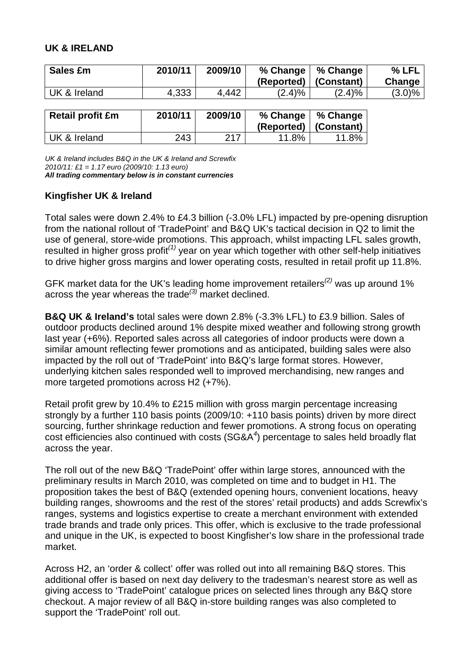#### **UK & IRELAND**

| Sales £m     | 2010/11 | 2009/10 | % Change $ $<br>(Reported) | % Change<br>(Constant) | % LFL<br>Change |
|--------------|---------|---------|----------------------------|------------------------|-----------------|
| UK & Ireland | 4,333   | 4.442   | $(2.4)\%$                  | $(2.4)\%$              | $(3.0)\%$       |

| <b>Retail profit £m</b> | 2010/11 | 2009/10 | % Change $ $ | % Change<br>(Reported)   (Constant) |
|-------------------------|---------|---------|--------------|-------------------------------------|
| UK & Ireland            | 243     | 217     | 11.8%        | 11.8%                               |

UK & Ireland includes B&Q in the UK & Ireland and Screwfix 2010/11: £1 = 1.17 euro (2009/10: 1.13 euro) **All trading commentary below is in constant currencies** 

# **Kingfisher UK & Ireland**

Total sales were down 2.4% to £4.3 billion (-3.0% LFL) impacted by pre-opening disruption from the national rollout of 'TradePoint' and B&Q UK's tactical decision in Q2 to limit the use of general, store-wide promotions. This approach, whilst impacting LFL sales growth, resulted in higher gross profit<sup> $(1)$ </sup> year on year which together with other self-help initiatives to drive higher gross margins and lower operating costs, resulted in retail profit up 11.8%.

GFK market data for the UK's leading home improvement retailers<sup>(2)</sup> was up around 1% across the year whereas the trade<sup>(3)</sup> market declined.

**B&Q UK & Ireland's** total sales were down 2.8% (-3.3% LFL) to £3.9 billion. Sales of outdoor products declined around 1% despite mixed weather and following strong growth last year (+6%). Reported sales across all categories of indoor products were down a similar amount reflecting fewer promotions and as anticipated, building sales were also impacted by the roll out of 'TradePoint' into B&Q's large format stores. However, underlying kitchen sales responded well to improved merchandising, new ranges and more targeted promotions across H2 (+7%).

Retail profit grew by 10.4% to £215 million with gross margin percentage increasing strongly by a further 110 basis points (2009/10: +110 basis points) driven by more direct sourcing, further shrinkage reduction and fewer promotions. A strong focus on operating cost efficiencies also continued with costs (SG&A $4$ ) percentage to sales held broadly flat across the year.

The roll out of the new B&Q 'TradePoint' offer within large stores, announced with the preliminary results in March 2010, was completed on time and to budget in H1. The proposition takes the best of B&Q (extended opening hours, convenient locations, heavy building ranges, showrooms and the rest of the stores' retail products) and adds Screwfix's ranges, systems and logistics expertise to create a merchant environment with extended trade brands and trade only prices. This offer, which is exclusive to the trade professional and unique in the UK, is expected to boost Kingfisher's low share in the professional trade market.

Across H2, an 'order & collect' offer was rolled out into all remaining B&Q stores. This additional offer is based on next day delivery to the tradesman's nearest store as well as giving access to 'TradePoint' catalogue prices on selected lines through any B&Q store checkout. A major review of all B&Q in-store building ranges was also completed to support the 'TradePoint' roll out.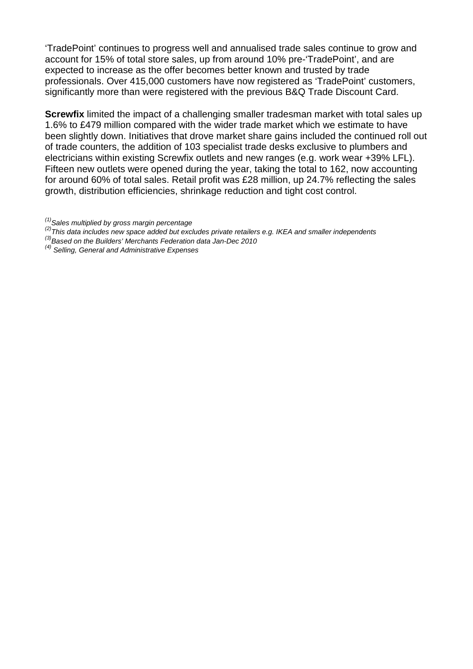'TradePoint' continues to progress well and annualised trade sales continue to grow and account for 15% of total store sales, up from around 10% pre-'TradePoint', and are expected to increase as the offer becomes better known and trusted by trade professionals. Over 415,000 customers have now registered as 'TradePoint' customers, significantly more than were registered with the previous B&Q Trade Discount Card.

**Screwfix** limited the impact of a challenging smaller tradesman market with total sales up 1.6% to £479 million compared with the wider trade market which we estimate to have been slightly down. Initiatives that drove market share gains included the continued roll out of trade counters, the addition of 103 specialist trade desks exclusive to plumbers and electricians within existing Screwfix outlets and new ranges (e.g. work wear +39% LFL). Fifteen new outlets were opened during the year, taking the total to 162, now accounting for around 60% of total sales. Retail profit was £28 million, up 24.7% reflecting the sales growth, distribution efficiencies, shrinkage reduction and tight cost control.

- <sup>(3)</sup>Based on the Builders' Merchants Federation data Jan-Dec 2010
- $^{(4)}$  Selling, General and Administrative Expenses

 $(1)$ Sales multiplied by gross margin percentage

<sup>(2)</sup> This data includes new space added but excludes private retailers e.g. IKEA and smaller independents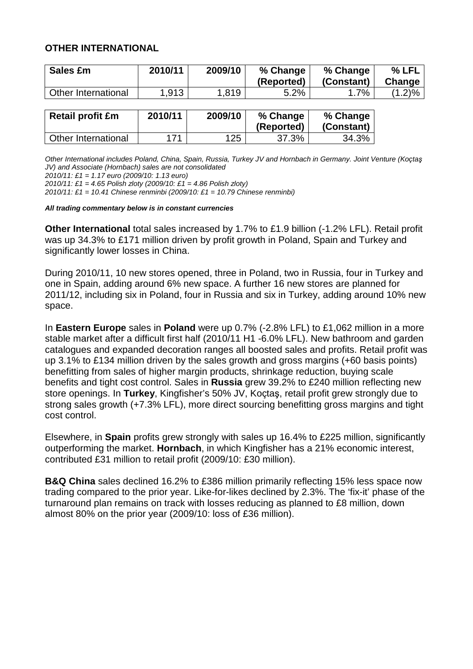### **OTHER INTERNATIONAL**

| Sales £m            | 2010/11 | 2009/10 | % Change<br>(Reported) | % Change<br>(Constant) | % LFL<br>Change |
|---------------------|---------|---------|------------------------|------------------------|-----------------|
| Other International | ,913    | .819    | 5.2%                   | 7%                     | $.2\frac{9}{6}$ |

| <b>Retail profit £m</b> | 2010/11 | 2009/10 | % Change<br>(Reported) | % Change<br>(Constant) |
|-------------------------|---------|---------|------------------------|------------------------|
| Other International     | 171     | 125     | 37.3%                  | 34.3%                  |

Other International includes Poland, China, Spain, Russia, Turkey JV and Hornbach in Germany. Joint Venture (Koçtaş JV) and Associate (Hornbach) sales are not consolidated

2010/11: £1 = 1.17 euro (2009/10: 1.13 euro)

2010/11: £1 = 4.65 Polish zloty (2009/10: £1 = 4.86 Polish zloty)

2010/11: £1 = 10.41 Chinese renminbi (2009/10: £1 = 10.79 Chinese renminbi)

#### **All trading commentary below is in constant currencies**

**Other International** total sales increased by 1.7% to £1.9 billion (-1.2% LFL). Retail profit was up 34.3% to £171 million driven by profit growth in Poland, Spain and Turkey and significantly lower losses in China.

During 2010/11, 10 new stores opened, three in Poland, two in Russia, four in Turkey and one in Spain, adding around 6% new space. A further 16 new stores are planned for 2011/12, including six in Poland, four in Russia and six in Turkey, adding around 10% new space.

In **Eastern Europe** sales in **Poland** were up 0.7% (-2.8% LFL) to £1,062 million in a more stable market after a difficult first half (2010/11 H1 -6.0% LFL). New bathroom and garden catalogues and expanded decoration ranges all boosted sales and profits. Retail profit was up 3.1% to £134 million driven by the sales growth and gross margins (+60 basis points) benefitting from sales of higher margin products, shrinkage reduction, buying scale benefits and tight cost control. Sales in **Russia** grew 39.2% to £240 million reflecting new store openings. In **Turkey**, Kingfisher's 50% JV, Koçtaş, retail profit grew strongly due to strong sales growth (+7.3% LFL), more direct sourcing benefitting gross margins and tight cost control.

Elsewhere, in **Spain** profits grew strongly with sales up 16.4% to £225 million, significantly outperforming the market. **Hornbach**, in which Kingfisher has a 21% economic interest, contributed £31 million to retail profit (2009/10: £30 million).

**B&Q China** sales declined 16.2% to £386 million primarily reflecting 15% less space now trading compared to the prior year. Like-for-likes declined by 2.3%. The 'fix-it' phase of the turnaround plan remains on track with losses reducing as planned to £8 million, down almost 80% on the prior year (2009/10: loss of £36 million).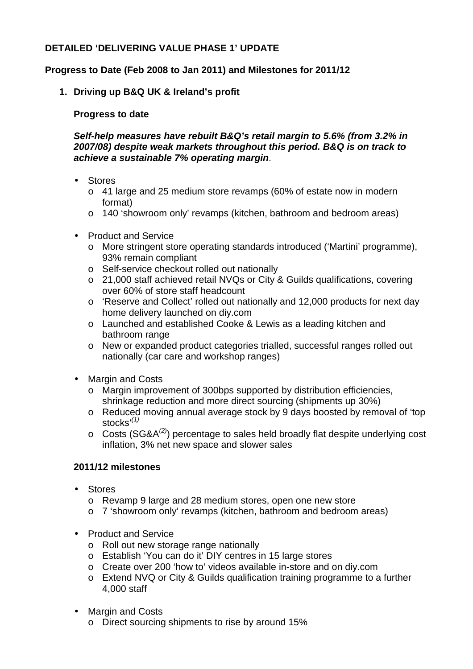# **DETAILED 'DELIVERING VALUE PHASE 1' UPDATE**

### **Progress to Date (Feb 2008 to Jan 2011) and Milestones for 2011/12**

# **1. Driving up B&Q UK & Ireland's profit**

#### **Progress to date**

#### **Self-help measures have rebuilt B&Q's retail margin to 5.6% (from 3.2% in 2007/08) despite weak markets throughout this period. B&Q is on track to achieve a sustainable 7% operating margin**.

- Stores
	- o 41 large and 25 medium store revamps (60% of estate now in modern format)
	- o 140 'showroom only' revamps (kitchen, bathroom and bedroom areas)
- Product and Service
	- o More stringent store operating standards introduced ('Martini' programme), 93% remain compliant
	- o Self-service checkout rolled out nationally
	- o 21,000 staff achieved retail NVQs or City & Guilds qualifications, covering over 60% of store staff headcount
	- o 'Reserve and Collect' rolled out nationally and 12,000 products for next day home delivery launched on diy.com
	- o Launched and established Cooke & Lewis as a leading kitchen and bathroom range
	- o New or expanded product categories trialled, successful ranges rolled out nationally (car care and workshop ranges)
- Margin and Costs
	- o Margin improvement of 300bps supported by distribution efficiencies, shrinkage reduction and more direct sourcing (shipments up 30%)
	- o Reduced moving annual average stock by 9 days boosted by removal of 'top stocks<sup>'(1)</sup>
	- $\circ$  Costs (SG&A<sup>(2)</sup>) percentage to sales held broadly flat despite underlying cost inflation, 3% net new space and slower sales

#### **2011/12 milestones**

- Stores
	- o Revamp 9 large and 28 medium stores, open one new store
	- o 7 'showroom only' revamps (kitchen, bathroom and bedroom areas)
- Product and Service
	- o Roll out new storage range nationally
	- o Establish 'You can do it' DIY centres in 15 large stores
	- o Create over 200 'how to' videos available in-store and on diy.com
	- o Extend NVQ or City & Guilds qualification training programme to a further 4,000 staff
- Margin and Costs
	- o Direct sourcing shipments to rise by around 15%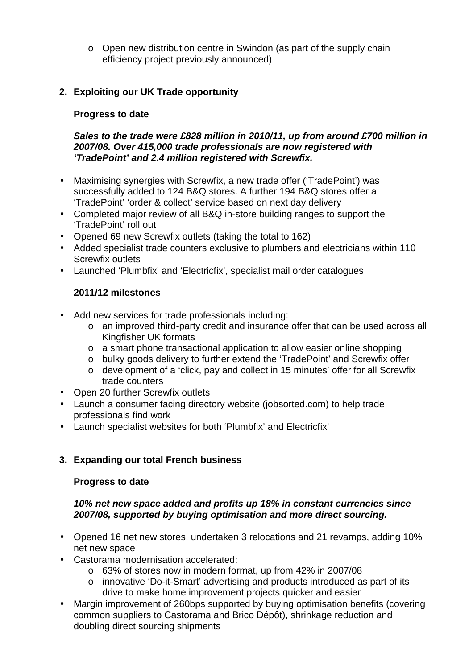o Open new distribution centre in Swindon (as part of the supply chain efficiency project previously announced)

# **2. Exploiting our UK Trade opportunity**

# **Progress to date**

### **Sales to the trade were £828 million in 2010/11, up from around £700 million in 2007/08. Over 415,000 trade professionals are now registered with 'TradePoint' and 2.4 million registered with Screwfix.**

- Maximising synergies with Screwfix, a new trade offer ('TradePoint') was successfully added to 124 B&Q stores. A further 194 B&Q stores offer a 'TradePoint' 'order & collect' service based on next day delivery
- Completed major review of all B&Q in-store building ranges to support the 'TradePoint' roll out
- Opened 69 new Screwfix outlets (taking the total to 162)
- Added specialist trade counters exclusive to plumbers and electricians within 110 Screwfix outlets
- Launched 'Plumbfix' and 'Electricfix', specialist mail order catalogues

# **2011/12 milestones**

- Add new services for trade professionals including:
	- o an improved third-party credit and insurance offer that can be used across all Kingfisher UK formats
	- o a smart phone transactional application to allow easier online shopping
	- o bulky goods delivery to further extend the 'TradePoint' and Screwfix offer
	- o development of a 'click, pay and collect in 15 minutes' offer for all Screwfix trade counters
- Open 20 further Screwfix outlets
- Launch a consumer facing directory website (jobsorted.com) to help trade professionals find work
- Launch specialist websites for both 'Plumbfix' and Electricfix'

# **3. Expanding our total French business**

#### **Progress to date**

#### **10% net new space added and profits up 18% in constant currencies since 2007/08, supported by buying optimisation and more direct sourcing.**

- Opened 16 net new stores, undertaken 3 relocations and 21 revamps, adding 10% net new space
- Castorama modernisation accelerated:
	- o 63% of stores now in modern format, up from 42% in 2007/08
	- o innovative 'Do-it-Smart' advertising and products introduced as part of its drive to make home improvement projects quicker and easier
- Margin improvement of 260bps supported by buying optimisation benefits (covering common suppliers to Castorama and Brico Dépôt), shrinkage reduction and doubling direct sourcing shipments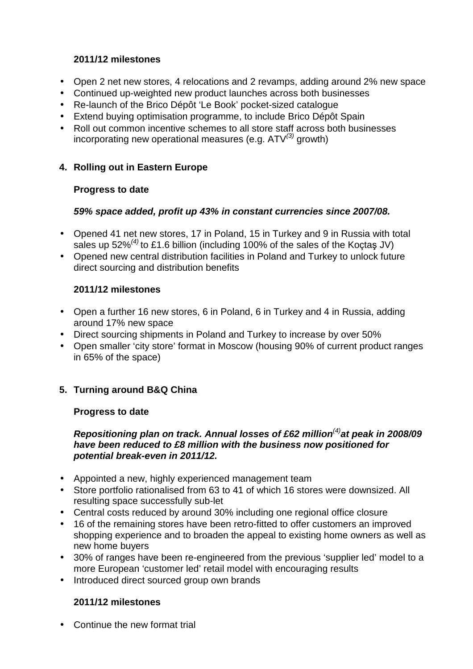# **2011/12 milestones**

- Open 2 net new stores, 4 relocations and 2 revamps, adding around 2% new space
- Continued up-weighted new product launches across both businesses
- Re-launch of the Brico Dépôt 'Le Book' pocket-sized catalogue
- Extend buying optimisation programme, to include Brico Dépôt Spain
- Roll out common incentive schemes to all store staff across both businesses incorporating new operational measures (e.g.  $ATV^{(3)}$  growth)

# **4. Rolling out in Eastern Europe**

#### **Progress to date**

# **59% space added, profit up 43% in constant currencies since 2007/08.**

- Opened 41 net new stores, 17 in Poland, 15 in Turkey and 9 in Russia with total sales up  $52\%^{(4)}$  to £1.6 billion (including 100% of the sales of the Koçtaş JV)
- Opened new central distribution facilities in Poland and Turkey to unlock future direct sourcing and distribution benefits

# **2011/12 milestones**

- Open a further 16 new stores, 6 in Poland, 6 in Turkey and 4 in Russia, adding around 17% new space
- Direct sourcing shipments in Poland and Turkey to increase by over 50%
- Open smaller 'city store' format in Moscow (housing 90% of current product ranges in 65% of the space)

# **5. Turning around B&Q China**

#### **Progress to date**

### **Repositioning plan on track. Annual losses of £62 million**(4)**at peak in 2008/09 have been reduced to £8 million with the business now positioned for potential break-even in 2011/12.**

- Appointed a new, highly experienced management team
- Store portfolio rationalised from 63 to 41 of which 16 stores were downsized. All resulting space successfully sub-let
- Central costs reduced by around 30% including one regional office closure
- 16 of the remaining stores have been retro-fitted to offer customers an improved shopping experience and to broaden the appeal to existing home owners as well as new home buyers
- 30% of ranges have been re-engineered from the previous 'supplier led' model to a more European 'customer led' retail model with encouraging results
- Introduced direct sourced group own brands

# **2011/12 milestones**

• Continue the new format trial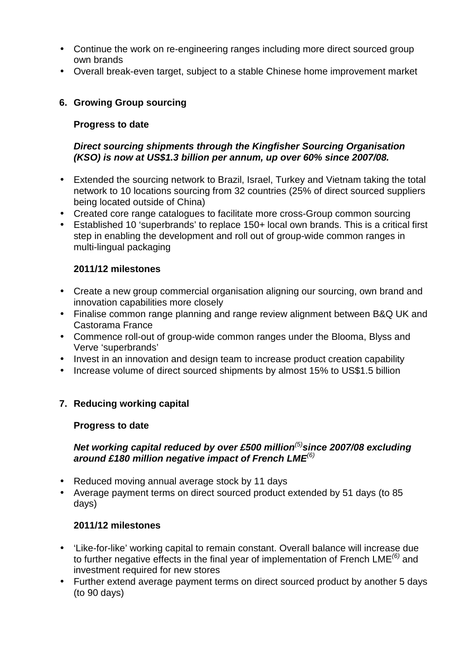- Continue the work on re-engineering ranges including more direct sourced group own brands
- Overall break-even target, subject to a stable Chinese home improvement market

# **6. Growing Group sourcing**

### **Progress to date**

# **Direct sourcing shipments through the Kingfisher Sourcing Organisation (KSO) is now at US\$1.3 billion per annum, up over 60% since 2007/08.**

- Extended the sourcing network to Brazil, Israel, Turkey and Vietnam taking the total network to 10 locations sourcing from 32 countries (25% of direct sourced suppliers being located outside of China)
- Created core range catalogues to facilitate more cross-Group common sourcing
- Established 10 'superbrands' to replace 150+ local own brands. This is a critical first step in enabling the development and roll out of group-wide common ranges in multi-lingual packaging

# **2011/12 milestones**

- Create a new group commercial organisation aligning our sourcing, own brand and innovation capabilities more closely
- Finalise common range planning and range review alignment between B&Q UK and Castorama France
- Commence roll-out of group-wide common ranges under the Blooma, Blyss and Verve 'superbrands'
- Invest in an innovation and design team to increase product creation capability
- Increase volume of direct sourced shipments by almost 15% to US\$1.5 billion

# **7. Reducing working capital**

#### **Progress to date**

# **Net working capital reduced by over £500 million**(5)**since 2007/08 excluding around £180 million negative impact of French LME**(6)

- Reduced moving annual average stock by 11 days
- Average payment terms on direct sourced product extended by 51 days (to 85 days)

# **2011/12 milestones**

- 'Like-for-like' working capital to remain constant. Overall balance will increase due to further negative effects in the final year of implementation of French  $LME^{(6)}$  and investment required for new stores
- Further extend average payment terms on direct sourced product by another 5 days (to 90 days)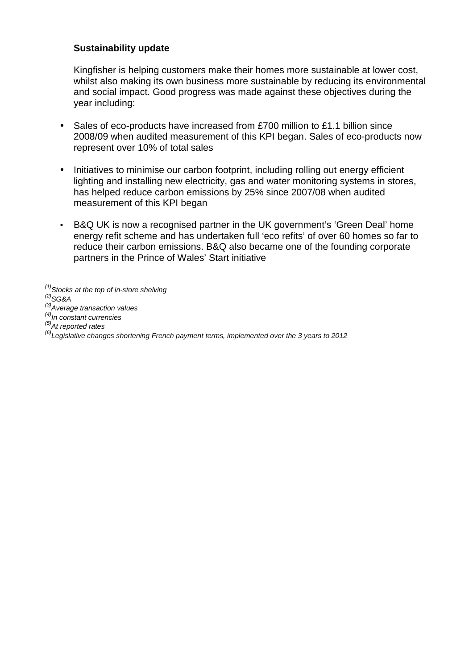### **Sustainability update**

Kingfisher is helping customers make their homes more sustainable at lower cost, whilst also making its own business more sustainable by reducing its environmental and social impact. Good progress was made against these objectives during the year including:

- Sales of eco-products have increased from £700 million to £1.1 billion since 2008/09 when audited measurement of this KPI began. Sales of eco-products now represent over 10% of total sales
- Initiatives to minimise our carbon footprint, including rolling out energy efficient lighting and installing new electricity, gas and water monitoring systems in stores, has helped reduce carbon emissions by 25% since 2007/08 when audited measurement of this KPI began
- B&Q UK is now a recognised partner in the UK government's 'Green Deal' home energy refit scheme and has undertaken full 'eco refits' of over 60 homes so far to reduce their carbon emissions. B&Q also became one of the founding corporate partners in the Prince of Wales' Start initiative

 $<sup>(1)</sup>$ Stocks at the top of in-store shelving</sup>  $^{(2)}$ SG&A  $^{(3)}$ Average transaction values  $(4)$ In constant currencies  $^{(5)}$ At reported rates  $^{(6)}$ Legislative changes shortening French payment terms, implemented over the 3 years to 2012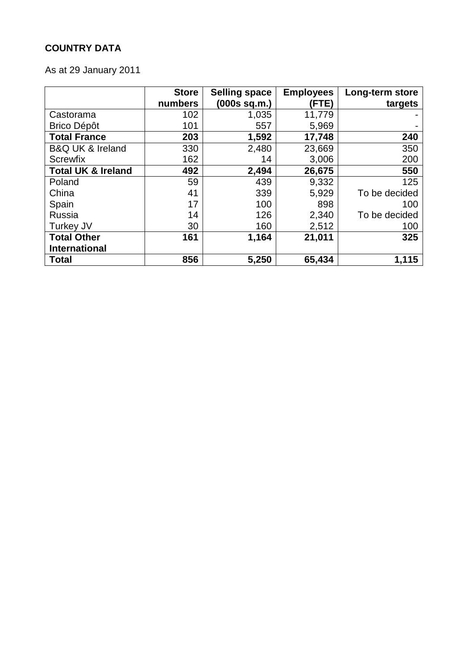# **COUNTRY DATA**

# As at 29 January 2011

|                                 | <b>Store</b> | <b>Selling space</b> | <b>Employees</b> | Long-term store |
|---------------------------------|--------------|----------------------|------------------|-----------------|
|                                 | numbers      | (000s sq.m.)         | (FTE)            | targets         |
| Castorama                       | 102          | 1,035                | 11,779           |                 |
| Brico Dépôt                     | 101          | 557                  | 5,969            |                 |
| <b>Total France</b>             | 203          | 1,592                | 17,748           | 240             |
| <b>B&amp;Q UK &amp; Ireland</b> | 330          | 2,480                | 23,669           | 350             |
| <b>Screwfix</b>                 | 162          | 14                   | 3,006            | 200             |
| <b>Total UK &amp; Ireland</b>   | 492          | 2,494                | 26,675           | 550             |
| Poland                          | 59           | 439                  | 9,332            | 125             |
| China                           | 41           | 339                  | 5,929            | To be decided   |
| Spain                           | 17           | 100                  | 898              | 100             |
| Russia                          | 14           | 126                  | 2,340            | To be decided   |
| Turkey JV                       | 30           | 160                  | 2,512            | 100             |
| <b>Total Other</b>              | 161          | 1,164                | 21,011           | 325             |
| <b>International</b>            |              |                      |                  |                 |
| <b>Total</b>                    | 856          | 5,250                | 65,434           | 1,115           |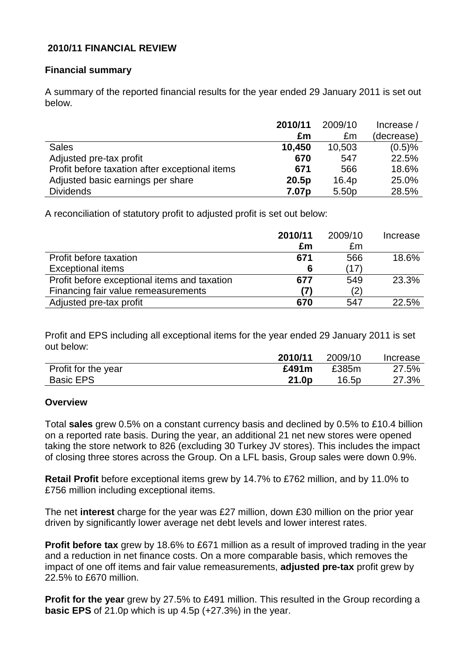### **2010/11 FINANCIAL REVIEW**

### **Financial summary**

A summary of the reported financial results for the year ended 29 January 2011 is set out below.

|                                                | 2010/11 | 2009/10           | Increase / |
|------------------------------------------------|---------|-------------------|------------|
|                                                | £m      | £m                | (decrease) |
| <b>Sales</b>                                   | 10,450  | 10,503            | (0.5)%     |
| Adjusted pre-tax profit                        | 670     | 547               | 22.5%      |
| Profit before taxation after exceptional items | 671     | 566               | 18.6%      |
| Adjusted basic earnings per share              | 20.5p   | 16.4p             | 25.0%      |
| <b>Dividends</b>                               | 7.07p   | 5.50 <sub>p</sub> | 28.5%      |

A reconciliation of statutory profit to adjusted profit is set out below:

|                                              | 2010/11<br>£m | 2009/10<br>£m | Increase |
|----------------------------------------------|---------------|---------------|----------|
| Profit before taxation                       | 671           | 566           | 18.6%    |
| <b>Exceptional items</b>                     | 6             | (17           |          |
| Profit before exceptional items and taxation | 677           | 549           | 23.3%    |
| Financing fair value remeasurements          |               | '2)           |          |
| Adjusted pre-tax profit                      | 670           | 547           | 22.5%    |

Profit and EPS including all exceptional items for the year ended 29 January 2011 is set out below:

|                     | 2010/11 | 2009/10 | Increase |
|---------------------|---------|---------|----------|
| Profit for the year | £491m   | £385m   | 27.5%    |
| <b>Basic EPS</b>    | 21.0p   | 16.5p   | 27.3%    |

#### **Overview**

Total **sales** grew 0.5% on a constant currency basis and declined by 0.5% to £10.4 billion on a reported rate basis. During the year, an additional 21 net new stores were opened taking the store network to 826 (excluding 30 Turkey JV stores). This includes the impact of closing three stores across the Group. On a LFL basis, Group sales were down 0.9%.

**Retail Profit** before exceptional items grew by 14.7% to £762 million, and by 11.0% to £756 million including exceptional items.

The net **interest** charge for the year was £27 million, down £30 million on the prior year driven by significantly lower average net debt levels and lower interest rates.

**Profit before tax** grew by 18.6% to £671 million as a result of improved trading in the year and a reduction in net finance costs. On a more comparable basis, which removes the impact of one off items and fair value remeasurements, **adjusted pre-tax** profit grew by 22.5% to £670 million.

**Profit for the year** grew by 27.5% to £491 million. This resulted in the Group recording a **basic EPS** of 21.0p which is up 4.5p (+27.3%) in the year.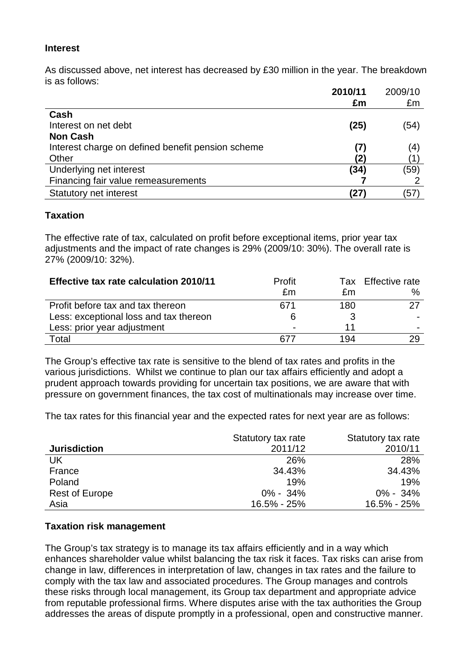#### **Interest**

As discussed above, net interest has decreased by £30 million in the year. The breakdown is as follows:

|                                                   | 2010/11 | 2009/10 |
|---------------------------------------------------|---------|---------|
|                                                   | £m      | £m      |
| Cash                                              |         |         |
| Interest on net debt                              | (25)    | (54)    |
| <b>Non Cash</b>                                   |         |         |
| Interest charge on defined benefit pension scheme | (7)     | (4)     |
| Other                                             | (2)     |         |
| Underlying net interest                           | (34)    | (59)    |
| Financing fair value remeasurements               |         |         |
| <b>Statutory net interest</b>                     | (27)    | (57)    |

#### **Taxation**

The effective rate of tax, calculated on profit before exceptional items, prior year tax adjustments and the impact of rate changes is 29% (2009/10: 30%). The overall rate is 27% (2009/10: 32%).

| <b>Effective tax rate calculation 2010/11</b> | Profit                   |     | Tax Effective rate |
|-----------------------------------------------|--------------------------|-----|--------------------|
|                                               | £m                       | £m  | ℅                  |
| Profit before tax and tax thereon             | 671                      | 180 |                    |
| Less: exceptional loss and tax thereon        |                          |     |                    |
| Less: prior year adjustment                   | $\overline{\phantom{a}}$ | 11  |                    |
| Total                                         |                          | 194 |                    |

The Group's effective tax rate is sensitive to the blend of tax rates and profits in the various jurisdictions. Whilst we continue to plan our tax affairs efficiently and adopt a prudent approach towards providing for uncertain tax positions, we are aware that with pressure on government finances, the tax cost of multinationals may increase over time.

The tax rates for this financial year and the expected rates for next year are as follows:

|                       | Statutory tax rate | Statutory tax rate |
|-----------------------|--------------------|--------------------|
| <b>Jurisdiction</b>   | 2011/12            | 2010/11            |
| UK                    | <b>26%</b>         | <b>28%</b>         |
| France                | 34.43%             | 34.43%             |
| Poland                | 19%                | 19%                |
| <b>Rest of Europe</b> | $0\% - 34\%$       | $0\% - 34\%$       |
| Asia                  | 16.5% - 25%        | 16.5% - 25%        |

#### **Taxation risk management**

The Group's tax strategy is to manage its tax affairs efficiently and in a way which enhances shareholder value whilst balancing the tax risk it faces. Tax risks can arise from change in law, differences in interpretation of law, changes in tax rates and the failure to comply with the tax law and associated procedures. The Group manages and controls these risks through local management, its Group tax department and appropriate advice from reputable professional firms. Where disputes arise with the tax authorities the Group addresses the areas of dispute promptly in a professional, open and constructive manner.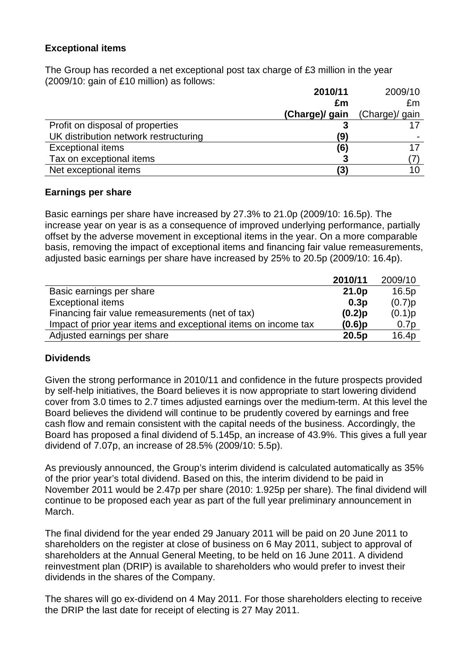# **Exceptional items**

The Group has recorded a net exceptional post tax charge of £3 million in the year (2009/10: gain of £10 million) as follows:

|                                       | 2010/11        | 2009/10        |
|---------------------------------------|----------------|----------------|
|                                       | £m             | £m             |
|                                       | (Charge)/ gain | (Charge)/ gain |
| Profit on disposal of properties      |                |                |
| UK distribution network restructuring | (9)            |                |
| <b>Exceptional items</b>              | (6)            |                |
| Tax on exceptional items              |                |                |
| Net exceptional items                 | (3)            |                |

#### **Earnings per share**

Basic earnings per share have increased by 27.3% to 21.0p (2009/10: 16.5p). The increase year on year is as a consequence of improved underlying performance, partially offset by the adverse movement in exceptional items in the year. On a more comparable basis, removing the impact of exceptional items and financing fair value remeasurements, adjusted basic earnings per share have increased by 25% to 20.5p (2009/10: 16.4p).

|                                                                | 2010/11           | 2009/10 |
|----------------------------------------------------------------|-------------------|---------|
| Basic earnings per share                                       | 21.0 <sub>p</sub> | 16.5p   |
| <b>Exceptional items</b>                                       | 0.3p              | (0.7)p  |
| Financing fair value remeasurements (net of tax)               | $(0.2)$ p         | (0.1)p  |
| Impact of prior year items and exceptional items on income tax | $(0.6)$ p         | 0.7p    |
| Adjusted earnings per share                                    | 20.5p             | 16.4p   |

#### **Dividends**

Given the strong performance in 2010/11 and confidence in the future prospects provided by self-help initiatives, the Board believes it is now appropriate to start lowering dividend cover from 3.0 times to 2.7 times adjusted earnings over the medium-term. At this level the Board believes the dividend will continue to be prudently covered by earnings and free cash flow and remain consistent with the capital needs of the business. Accordingly, the Board has proposed a final dividend of 5.145p, an increase of 43.9%. This gives a full year dividend of 7.07p, an increase of 28.5% (2009/10: 5.5p).

As previously announced, the Group's interim dividend is calculated automatically as 35% of the prior year's total dividend. Based on this, the interim dividend to be paid in November 2011 would be 2.47p per share (2010: 1.925p per share). The final dividend will continue to be proposed each year as part of the full year preliminary announcement in March.

The final dividend for the year ended 29 January 2011 will be paid on 20 June 2011 to shareholders on the register at close of business on 6 May 2011, subject to approval of shareholders at the Annual General Meeting, to be held on 16 June 2011. A dividend reinvestment plan (DRIP) is available to shareholders who would prefer to invest their dividends in the shares of the Company.

The shares will go ex-dividend on 4 May 2011. For those shareholders electing to receive the DRIP the last date for receipt of electing is 27 May 2011.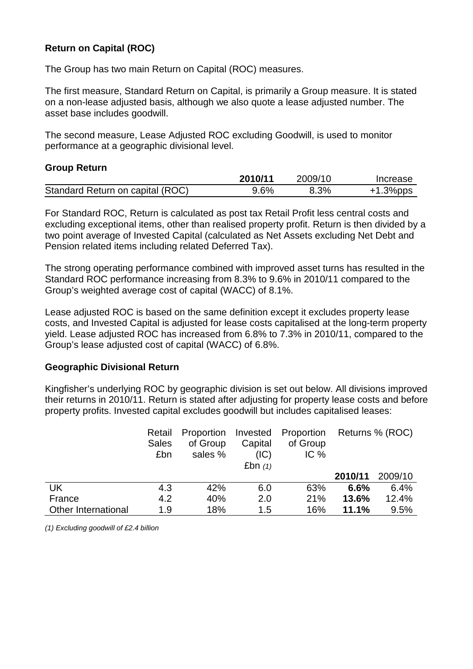# **Return on Capital (ROC)**

**Group Return**

The Group has two main Return on Capital (ROC) measures.

The first measure, Standard Return on Capital, is primarily a Group measure. It is stated on a non-lease adjusted basis, although we also quote a lease adjusted number. The asset base includes goodwill.

The second measure, Lease Adjusted ROC excluding Goodwill, is used to monitor performance at a geographic divisional level.

| . <del>.</del>                   | 2010/11 | 2009/10 | Increase     |
|----------------------------------|---------|---------|--------------|
| Standard Return on capital (ROC) | 9.6%    | 8.3%    | $+1.3\%$ pps |

For Standard ROC, Return is calculated as post tax Retail Profit less central costs and excluding exceptional items, other than realised property profit. Return is then divided by a two point average of Invested Capital (calculated as Net Assets excluding Net Debt and Pension related items including related Deferred Tax).

The strong operating performance combined with improved asset turns has resulted in the Standard ROC performance increasing from 8.3% to 9.6% in 2010/11 compared to the Group's weighted average cost of capital (WACC) of 8.1%.

Lease adjusted ROC is based on the same definition except it excludes property lease costs, and Invested Capital is adjusted for lease costs capitalised at the long-term property yield. Lease adjusted ROC has increased from 6.8% to 7.3% in 2010/11, compared to the Group's lease adjusted cost of capital (WACC) of 6.8%.

#### **Geographic Divisional Return**

Kingfisher's underlying ROC by geographic division is set out below. All divisions improved their returns in 2010/11. Return is stated after adjusting for property lease costs and before property profits. Invested capital excludes goodwill but includes capitalised leases:

|                     | Retail<br><b>Sales</b> | Proportion<br>of Group | Invested<br>Capital | Proportion<br>of Group |         | Returns % (ROC) |
|---------------------|------------------------|------------------------|---------------------|------------------------|---------|-----------------|
|                     | £bn                    | sales %                | (IC)                | IC $%$                 |         |                 |
|                     |                        |                        | £bn $(1)$           |                        |         |                 |
|                     |                        |                        |                     |                        | 2010/11 | 2009/10         |
| UK                  | 4.3                    | 42%                    | 6.0                 | 63%                    | 6.6%    | 6.4%            |
| France              | 4.2                    | 40%                    | 2.0                 | 21%                    | 13.6%   | 12.4%           |
| Other International | 1.9                    | 18%                    | 1.5                 | 16%                    | 11.1%   | 9.5%            |

(1) Excluding goodwill of £2.4 billion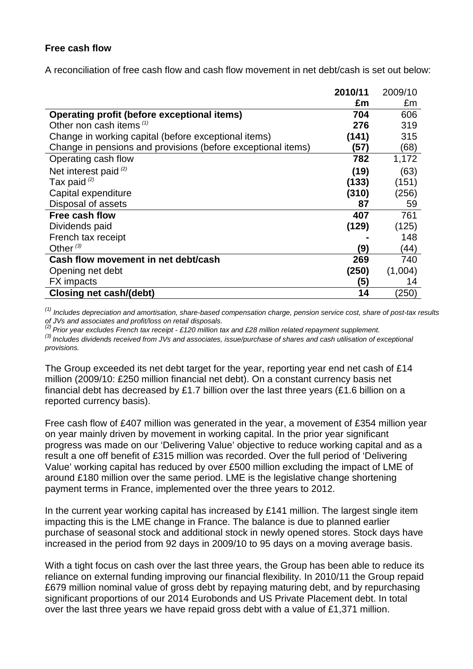### **Free cash flow**

A reconciliation of free cash flow and cash flow movement in net debt/cash is set out below:

|                                                              | 2010/11 | 2009/10 |
|--------------------------------------------------------------|---------|---------|
|                                                              | £m      | £m      |
| <b>Operating profit (before exceptional items)</b>           | 704     | 606     |
| Other non cash items $(1)$                                   | 276     | 319     |
| Change in working capital (before exceptional items)         | (141)   | 315     |
| Change in pensions and provisions (before exceptional items) | (57)    | (68)    |
| Operating cash flow                                          | 782     | 1,172   |
| Net interest paid <sup>(2)</sup>                             | (19)    | (63)    |
| Tax paid $(2)$                                               | (133)   | (151)   |
| Capital expenditure                                          | (310)   | (256)   |
| Disposal of assets                                           | 87      | 59      |
| Free cash flow                                               | 407     | 761     |
| Dividends paid                                               | (129)   | (125)   |
| French tax receipt                                           |         | 148     |
| Other $(3)$                                                  | (9)     | (44)    |
| Cash flow movement in net debt/cash                          | 269     | 740     |
| Opening net debt                                             | (250)   | (1,004) |
| <b>FX</b> impacts                                            | (5)     | 14      |
| Closing net cash/(debt)                                      | 14      | (250)   |

 $^{(1)}$  Includes depreciation and amortisation, share-based compensation charge, pension service cost, share of post-tax results of JVs and associates and profit/loss on retail disposals.

 $^{(2)}$  Prior year excludes French tax receipt - £120 million tax and £28 million related repayment supplement.

 $^{(3)}$  Includes dividends received from JVs and associates, issue/purchase of shares and cash utilisation of exceptional provisions.

The Group exceeded its net debt target for the year, reporting year end net cash of £14 million (2009/10: £250 million financial net debt). On a constant currency basis net financial debt has decreased by £1.7 billion over the last three years (£1.6 billion on a reported currency basis).

Free cash flow of £407 million was generated in the year, a movement of £354 million year on year mainly driven by movement in working capital. In the prior year significant progress was made on our 'Delivering Value' objective to reduce working capital and as a result a one off benefit of £315 million was recorded. Over the full period of 'Delivering Value' working capital has reduced by over £500 million excluding the impact of LME of around £180 million over the same period. LME is the legislative change shortening payment terms in France, implemented over the three years to 2012.

In the current year working capital has increased by £141 million. The largest single item impacting this is the LME change in France. The balance is due to planned earlier purchase of seasonal stock and additional stock in newly opened stores. Stock days have increased in the period from 92 days in 2009/10 to 95 days on a moving average basis.

With a tight focus on cash over the last three years, the Group has been able to reduce its reliance on external funding improving our financial flexibility. In 2010/11 the Group repaid £679 million nominal value of gross debt by repaying maturing debt, and by repurchasing significant proportions of our 2014 Eurobonds and US Private Placement debt. In total over the last three years we have repaid gross debt with a value of £1,371 million.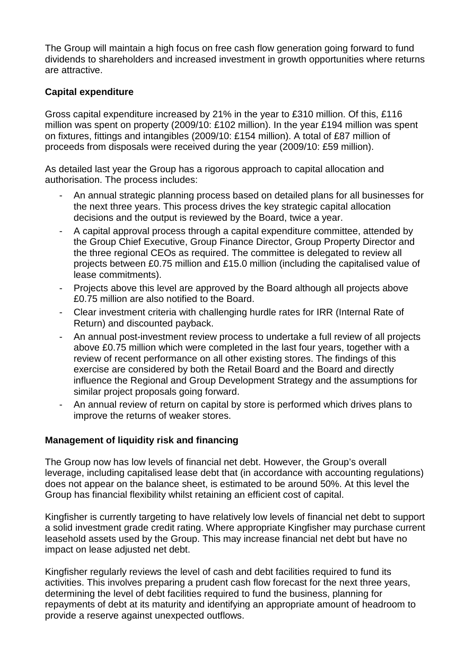The Group will maintain a high focus on free cash flow generation going forward to fund dividends to shareholders and increased investment in growth opportunities where returns are attractive.

# **Capital expenditure**

Gross capital expenditure increased by 21% in the year to £310 million. Of this, £116 million was spent on property (2009/10: £102 million). In the year £194 million was spent on fixtures, fittings and intangibles (2009/10: £154 million). A total of £87 million of proceeds from disposals were received during the year (2009/10: £59 million).

As detailed last year the Group has a rigorous approach to capital allocation and authorisation. The process includes:

- An annual strategic planning process based on detailed plans for all businesses for the next three years. This process drives the key strategic capital allocation decisions and the output is reviewed by the Board, twice a year.
- A capital approval process through a capital expenditure committee, attended by the Group Chief Executive, Group Finance Director, Group Property Director and the three regional CEOs as required. The committee is delegated to review all projects between £0.75 million and £15.0 million (including the capitalised value of lease commitments).
- Projects above this level are approved by the Board although all projects above £0.75 million are also notified to the Board.
- Clear investment criteria with challenging hurdle rates for IRR (Internal Rate of Return) and discounted payback.
- An annual post-investment review process to undertake a full review of all projects above £0.75 million which were completed in the last four years, together with a review of recent performance on all other existing stores. The findings of this exercise are considered by both the Retail Board and the Board and directly influence the Regional and Group Development Strategy and the assumptions for similar project proposals going forward.
- An annual review of return on capital by store is performed which drives plans to improve the returns of weaker stores.

#### **Management of liquidity risk and financing**

The Group now has low levels of financial net debt. However, the Group's overall leverage, including capitalised lease debt that (in accordance with accounting regulations) does not appear on the balance sheet, is estimated to be around 50%. At this level the Group has financial flexibility whilst retaining an efficient cost of capital.

Kingfisher is currently targeting to have relatively low levels of financial net debt to support a solid investment grade credit rating. Where appropriate Kingfisher may purchase current leasehold assets used by the Group. This may increase financial net debt but have no impact on lease adjusted net debt.

Kingfisher regularly reviews the level of cash and debt facilities required to fund its activities. This involves preparing a prudent cash flow forecast for the next three years, determining the level of debt facilities required to fund the business, planning for repayments of debt at its maturity and identifying an appropriate amount of headroom to provide a reserve against unexpected outflows.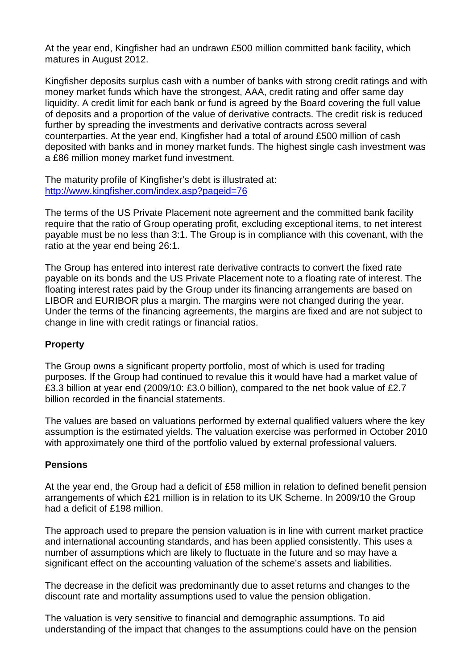At the year end, Kingfisher had an undrawn £500 million committed bank facility, which matures in August 2012.

Kingfisher deposits surplus cash with a number of banks with strong credit ratings and with money market funds which have the strongest, AAA, credit rating and offer same day liquidity. A credit limit for each bank or fund is agreed by the Board covering the full value of deposits and a proportion of the value of derivative contracts. The credit risk is reduced further by spreading the investments and derivative contracts across several counterparties. At the year end, Kingfisher had a total of around £500 million of cash deposited with banks and in money market funds. The highest single cash investment was a £86 million money market fund investment.

The maturity profile of Kingfisher's debt is illustrated at: http://www.kingfisher.com/index.asp?pageid=76

The terms of the US Private Placement note agreement and the committed bank facility require that the ratio of Group operating profit, excluding exceptional items, to net interest payable must be no less than 3:1. The Group is in compliance with this covenant, with the ratio at the year end being 26:1.

The Group has entered into interest rate derivative contracts to convert the fixed rate payable on its bonds and the US Private Placement note to a floating rate of interest. The floating interest rates paid by the Group under its financing arrangements are based on LIBOR and EURIBOR plus a margin. The margins were not changed during the year. Under the terms of the financing agreements, the margins are fixed and are not subject to change in line with credit ratings or financial ratios.

# **Property**

The Group owns a significant property portfolio, most of which is used for trading purposes. If the Group had continued to revalue this it would have had a market value of £3.3 billion at year end (2009/10: £3.0 billion), compared to the net book value of £2.7 billion recorded in the financial statements.

The values are based on valuations performed by external qualified valuers where the key assumption is the estimated yields. The valuation exercise was performed in October 2010 with approximately one third of the portfolio valued by external professional valuers.

#### **Pensions**

At the year end, the Group had a deficit of £58 million in relation to defined benefit pension arrangements of which £21 million is in relation to its UK Scheme. In 2009/10 the Group had a deficit of £198 million.

The approach used to prepare the pension valuation is in line with current market practice and international accounting standards, and has been applied consistently. This uses a number of assumptions which are likely to fluctuate in the future and so may have a significant effect on the accounting valuation of the scheme's assets and liabilities.

The decrease in the deficit was predominantly due to asset returns and changes to the discount rate and mortality assumptions used to value the pension obligation.

The valuation is very sensitive to financial and demographic assumptions. To aid understanding of the impact that changes to the assumptions could have on the pension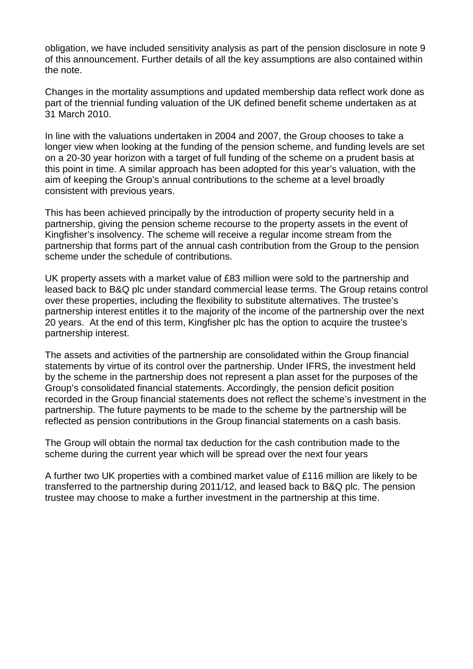obligation, we have included sensitivity analysis as part of the pension disclosure in note 9 of this announcement. Further details of all the key assumptions are also contained within the note.

Changes in the mortality assumptions and updated membership data reflect work done as part of the triennial funding valuation of the UK defined benefit scheme undertaken as at 31 March 2010.

In line with the valuations undertaken in 2004 and 2007, the Group chooses to take a longer view when looking at the funding of the pension scheme, and funding levels are set on a 20-30 year horizon with a target of full funding of the scheme on a prudent basis at this point in time. A similar approach has been adopted for this year's valuation, with the aim of keeping the Group's annual contributions to the scheme at a level broadly consistent with previous years.

This has been achieved principally by the introduction of property security held in a partnership, giving the pension scheme recourse to the property assets in the event of Kingfisher's insolvency. The scheme will receive a regular income stream from the partnership that forms part of the annual cash contribution from the Group to the pension scheme under the schedule of contributions.

UK property assets with a market value of £83 million were sold to the partnership and leased back to B&Q plc under standard commercial lease terms. The Group retains control over these properties, including the flexibility to substitute alternatives. The trustee's partnership interest entitles it to the majority of the income of the partnership over the next 20 years. At the end of this term, Kingfisher plc has the option to acquire the trustee's partnership interest.

The assets and activities of the partnership are consolidated within the Group financial statements by virtue of its control over the partnership. Under IFRS, the investment held by the scheme in the partnership does not represent a plan asset for the purposes of the Group's consolidated financial statements. Accordingly, the pension deficit position recorded in the Group financial statements does not reflect the scheme's investment in the partnership. The future payments to be made to the scheme by the partnership will be reflected as pension contributions in the Group financial statements on a cash basis.

The Group will obtain the normal tax deduction for the cash contribution made to the scheme during the current year which will be spread over the next four years

A further two UK properties with a combined market value of £116 million are likely to be transferred to the partnership during 2011/12, and leased back to B&Q plc. The pension trustee may choose to make a further investment in the partnership at this time.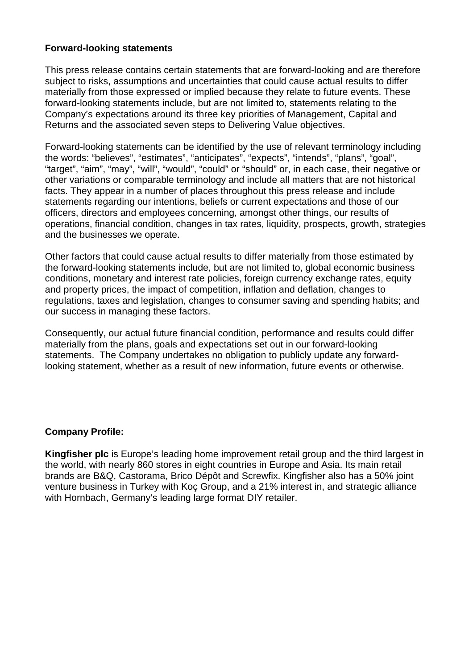### **Forward-looking statements**

This press release contains certain statements that are forward-looking and are therefore subject to risks, assumptions and uncertainties that could cause actual results to differ materially from those expressed or implied because they relate to future events. These forward-looking statements include, but are not limited to, statements relating to the Company's expectations around its three key priorities of Management, Capital and Returns and the associated seven steps to Delivering Value objectives.

Forward-looking statements can be identified by the use of relevant terminology including the words: "believes", "estimates", "anticipates", "expects", "intends", "plans", "goal", "target", "aim", "may", "will", "would", "could" or "should" or, in each case, their negative or other variations or comparable terminology and include all matters that are not historical facts. They appear in a number of places throughout this press release and include statements regarding our intentions, beliefs or current expectations and those of our officers, directors and employees concerning, amongst other things, our results of operations, financial condition, changes in tax rates, liquidity, prospects, growth, strategies and the businesses we operate.

Other factors that could cause actual results to differ materially from those estimated by the forward-looking statements include, but are not limited to, global economic business conditions, monetary and interest rate policies, foreign currency exchange rates, equity and property prices, the impact of competition, inflation and deflation, changes to regulations, taxes and legislation, changes to consumer saving and spending habits; and our success in managing these factors.

Consequently, our actual future financial condition, performance and results could differ materially from the plans, goals and expectations set out in our forward-looking statements. The Company undertakes no obligation to publicly update any forwardlooking statement, whether as a result of new information, future events or otherwise.

# **Company Profile:**

**Kingfisher plc** is Europe's leading home improvement retail group and the third largest in the world, with nearly 860 stores in eight countries in Europe and Asia. Its main retail brands are B&Q, Castorama, Brico Dépôt and Screwfix. Kingfisher also has a 50% joint venture business in Turkey with Koç Group, and a 21% interest in, and strategic alliance with Hornbach, Germany's leading large format DIY retailer.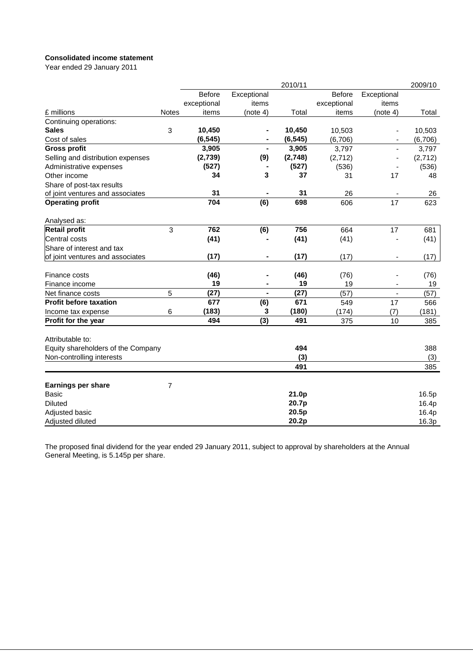#### **Consolidated income statement**

Year ended 29 January 2011

|                                    |              |             |                  | 2010/11  |             |                | 2009/10 |
|------------------------------------|--------------|-------------|------------------|----------|-------------|----------------|---------|
|                                    |              | Before      | Exceptional      |          | Before      | Exceptional    |         |
|                                    |              | exceptional | items            |          | exceptional | items          |         |
| £ millions                         | <b>Notes</b> | items       | (note 4)         | Total    | items       | (note 4)       | Total   |
| Continuing operations:             |              |             |                  |          |             |                |         |
| <b>Sales</b>                       | 3            | 10,450      |                  | 10,450   | 10,503      |                | 10,503  |
| Cost of sales                      |              | (6, 545)    |                  | (6, 545) | (6,706)     |                | (6,706) |
| <b>Gross profit</b>                |              | 3,905       | ÷,               | 3,905    | 3,797       | $\overline{a}$ | 3,797   |
| Selling and distribution expenses  |              | (2,739)     | (9)              | (2,748)  | (2,712)     |                | (2,712) |
| Administrative expenses            |              | (527)       |                  | (527)    | (536)       |                | (536)   |
| Other income                       |              | 34          | 3                | 37       | 31          | 17             | 48      |
| Share of post-tax results          |              |             |                  |          |             |                |         |
| of joint ventures and associates   |              | 31          |                  | 31       | 26          |                | 26      |
| <b>Operating profit</b>            |              | 704         | (6)              | 698      | 606         | 17             | 623     |
| Analysed as:                       |              |             |                  |          |             |                |         |
| <b>Retail profit</b>               | 3            | 762         | (6)              | 756      | 664         | 17             | 681     |
| Central costs                      |              | (41)        |                  | (41)     | (41)        |                | (41)    |
| Share of interest and tax          |              |             |                  |          |             |                |         |
| of joint ventures and associates   |              | (17)        | $\blacksquare$   | (17)     | (17)        |                | (17)    |
| Finance costs                      |              | (46)        |                  | (46)     | (76)        |                | (76)    |
| Finance income                     |              | 19          |                  | 19       | 19          |                | 19      |
| Net finance costs                  | 5            | (27)        | $\blacksquare$   | (27)     | (57)        | $\blacksquare$ | (57)    |
| <b>Profit before taxation</b>      |              | 677         | (6)              | 671      | 549         | 17             | 566     |
| Income tax expense                 | 6            | (183)       | 3                | (180)    | (174)       | (7)            | (181)   |
| Profit for the year                |              | 494         | $\overline{(3)}$ | 491      | 375         | 10             | 385     |
| Attributable to:                   |              |             |                  |          |             |                |         |
| Equity shareholders of the Company |              |             |                  | 494      |             |                | 388     |
| Non-controlling interests          |              |             |                  | (3)      |             |                | (3)     |
|                                    |              |             |                  | 491      |             |                | 385     |
| <b>Earnings per share</b>          | 7            |             |                  |          |             |                |         |
| <b>Basic</b>                       |              |             |                  | 21.0p    |             |                | 16.5p   |
| <b>Diluted</b>                     |              |             |                  | 20.7p    |             |                | 16.4p   |
| Adjusted basic                     |              |             |                  | 20.5p    |             |                | 16.4p   |
| Adjusted diluted                   |              |             |                  | 20.2p    |             |                | 16.3p   |

The proposed final dividend for the year ended 29 January 2011, subject to approval by shareholders at the Annual General Meeting, is 5.145p per share.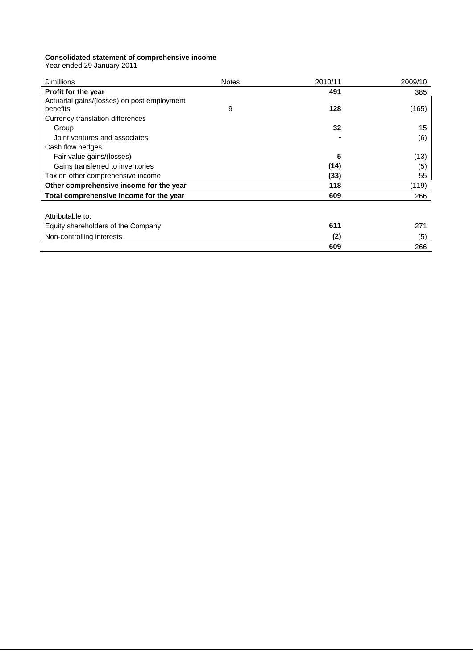#### **Consolidated statement of comprehensive income**

Year ended 29 January 2011

| £ millions                                  | <b>Notes</b> | 2010/11 | 2009/10 |
|---------------------------------------------|--------------|---------|---------|
| Profit for the year                         |              | 491     | 385     |
| Actuarial gains/(losses) on post employment |              |         |         |
| benefits                                    | 9            | 128     | (165)   |
| Currency translation differences            |              |         |         |
| Group                                       |              | 32      | 15      |
| Joint ventures and associates               |              |         | (6)     |
| Cash flow hedges                            |              |         |         |
| Fair value gains/(losses)                   |              | 5       | (13)    |
| Gains transferred to inventories            |              | (14)    | (5)     |
| Tax on other comprehensive income           |              | (33)    | 55      |
| Other comprehensive income for the year     |              | 118     | (119)   |
| Total comprehensive income for the year     |              | 609     | 266     |
| Attributable to:                            |              |         |         |
| Equity shareholders of the Company          |              | 611     | 271     |
| Non-controlling interests                   |              | (2)     | (5)     |
|                                             |              | 609     | 266     |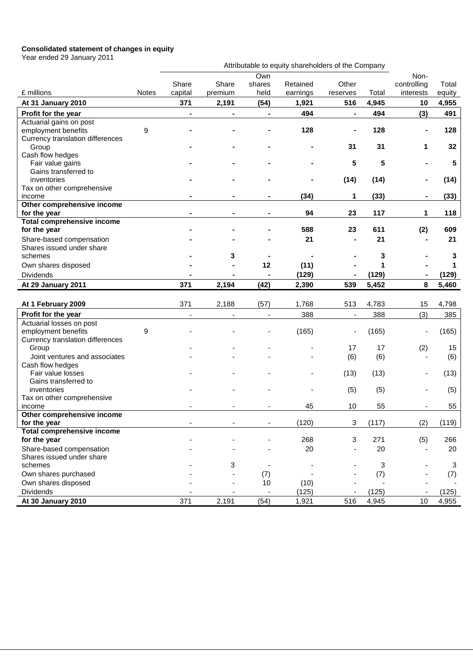#### **Consolidated statement of changes in equity**

Year ended 29 January 2011

| <b>CHUCU LU UUHUUHY LU H</b>                          |       | Attributable to equity shareholders of the Company |                |                          |          |                          |       |                |        |
|-------------------------------------------------------|-------|----------------------------------------------------|----------------|--------------------------|----------|--------------------------|-------|----------------|--------|
|                                                       |       |                                                    |                | Own                      |          |                          |       | Non-           |        |
|                                                       |       | Share                                              | Share          | shares                   | Retained | Other                    |       | controlling    | Total  |
| £ millions                                            | Notes | capital                                            | premium        | held                     | earnings | reserves                 | Total | interests      | equity |
| At 31 January 2010                                    |       | 371                                                | 2,191          | (54)                     | 1,921    | 516                      | 4,945 | 10             | 4,955  |
| Profit for the year                                   |       | $\blacksquare$                                     | $\blacksquare$ | $\blacksquare$           | 494      | $\blacksquare$           | 494   | (3)            | 491    |
| Actuarial gains on post                               |       |                                                    |                |                          |          |                          |       |                |        |
| employment benefits                                   | 9     |                                                    |                |                          | 128      |                          | 128   |                | 128    |
| Currency translation differences                      |       |                                                    |                |                          |          |                          |       |                |        |
| Group                                                 |       |                                                    |                |                          |          | 31                       | 31    | 1              | 32     |
| Cash flow hedges                                      |       |                                                    |                |                          |          |                          |       |                |        |
| Fair value gains                                      |       |                                                    |                |                          |          | 5                        | 5     |                | 5      |
| Gains transferred to                                  |       |                                                    |                |                          |          |                          |       |                |        |
| inventories                                           |       |                                                    |                |                          |          | (14)                     | (14)  |                | (14)   |
| Tax on other comprehensive                            |       |                                                    |                |                          |          |                          |       |                |        |
| income                                                |       |                                                    |                |                          | (34)     | 1                        | (33)  |                | (33)   |
| Other comprehensive income<br>for the year            |       |                                                    |                |                          | 94       | 23                       | 117   | 1              | 118    |
| <b>Total comprehensive income</b>                     |       |                                                    |                |                          |          |                          |       |                |        |
| for the year                                          |       |                                                    |                |                          | 588      | 23                       | 611   | (2)            | 609    |
|                                                       |       |                                                    |                |                          | 21       |                          | 21    |                | 21     |
| Share-based compensation<br>Shares issued under share |       |                                                    |                |                          |          |                          |       |                |        |
| schemes                                               |       |                                                    | 3              |                          |          |                          | 3     |                | 3      |
|                                                       |       |                                                    |                |                          |          |                          | 1     |                | 1      |
| Own shares disposed                                   |       |                                                    |                | 12                       | (11)     |                          |       |                |        |
| <b>Dividends</b>                                      |       |                                                    |                |                          | (129)    |                          | (129) |                | (129)  |
| At 29 January 2011                                    |       | 371                                                | 2,194          | (42)                     | 2,390    | 539                      | 5,452 | 8              | 5,460  |
|                                                       |       |                                                    |                |                          |          |                          |       |                |        |
| At 1 February 2009                                    |       | 371                                                | 2,188          | (57)                     | 1,768    | 513                      | 4,783 | 15             | 4,798  |
| Profit for the year                                   |       | ä,                                                 |                | $\blacksquare$           | 388      | $\overline{\phantom{a}}$ | 388   | (3)            | 385    |
| Actuarial losses on post                              |       |                                                    |                |                          |          |                          |       |                |        |
| employment benefits                                   | 9     |                                                    |                |                          | (165)    |                          | (165) |                | (165)  |
| Currency translation differences                      |       |                                                    |                |                          |          |                          |       |                |        |
| Group                                                 |       |                                                    |                |                          |          | 17                       | 17    | (2)            | 15     |
| Joint ventures and associates                         |       |                                                    |                |                          |          | (6)                      | (6)   |                | (6)    |
| Cash flow hedges<br>Fair value losses                 |       |                                                    |                |                          |          | (13)                     |       |                |        |
| Gains transferred to                                  |       |                                                    |                |                          |          |                          | (13)  |                | (13)   |
| inventories                                           |       |                                                    |                |                          |          | (5)                      | (5)   |                | (5)    |
| Tax on other comprehensive                            |       |                                                    |                |                          |          |                          |       |                |        |
| income                                                |       |                                                    |                |                          | 45       | 10                       | 55    |                | 55     |
| Other comprehensive income                            |       |                                                    |                |                          |          |                          |       |                |        |
| for the year                                          |       | -                                                  |                | $\overline{\phantom{a}}$ | (120)    | 3                        | (117) | (2)            | (119)  |
| <b>Total comprehensive income</b>                     |       |                                                    |                |                          |          |                          |       |                |        |
| for the year                                          |       |                                                    |                |                          | 268      | $\mathbf{3}$             | 271   | (5)            | 266    |
| Share-based compensation                              |       |                                                    |                |                          | 20       | $\blacksquare$           | 20    | $\blacksquare$ | 20     |
| Shares issued under share                             |       |                                                    |                |                          |          |                          |       |                |        |
| schemes                                               |       |                                                    | 3              |                          |          |                          | 3     |                | 3      |
| Own shares purchased                                  |       |                                                    |                | (7)                      |          |                          | (7)   |                | (7)    |
| Own shares disposed                                   |       |                                                    |                | $10$                     | (10)     |                          |       |                |        |
| Dividends                                             |       |                                                    |                |                          | (125)    |                          | (125) |                | (125)  |
| At 30 January 2010                                    |       | 371                                                | 2,191          | (54)                     | 1,921    | 516                      | 4,945 | 10             | 4,955  |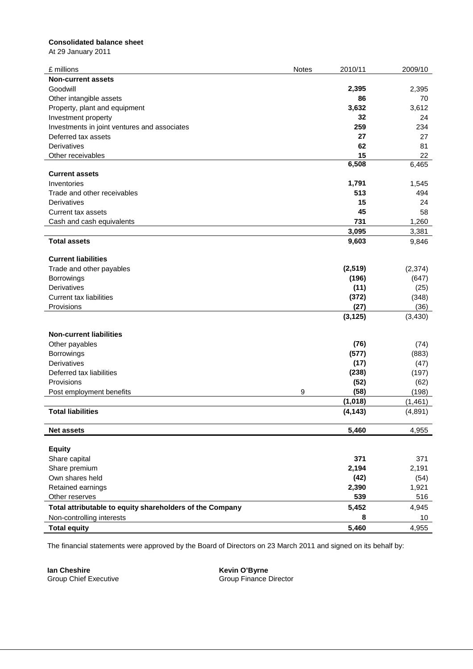#### **Consolidated balance sheet**

At 29 January 2011

| £ millions                                               | <b>Notes</b> | 2010/11  | 2009/10       |
|----------------------------------------------------------|--------------|----------|---------------|
| <b>Non-current assets</b>                                |              |          |               |
| Goodwill                                                 |              | 2,395    | 2,395         |
| Other intangible assets                                  |              | 86       | 70            |
| Property, plant and equipment                            |              | 3,632    | 3,612         |
| Investment property                                      |              | 32       | 24            |
| Investments in joint ventures and associates             |              | 259      | 234           |
| Deferred tax assets                                      |              | 27       | 27            |
| <b>Derivatives</b>                                       |              | 62       | 81            |
| Other receivables                                        |              | 15       | 22            |
|                                                          |              | 6,508    | 6,465         |
| <b>Current assets</b>                                    |              |          |               |
| Inventories                                              |              | 1,791    | 1,545         |
| Trade and other receivables                              |              | 513      | 494           |
| Derivatives                                              |              | 15       | 24            |
| <b>Current tax assets</b>                                |              | 45       | 58            |
| Cash and cash equivalents                                |              | 731      | 1,260         |
|                                                          |              | 3,095    | 3,381         |
| <b>Total assets</b>                                      |              | 9,603    | 9,846         |
|                                                          |              |          |               |
| <b>Current liabilities</b>                               |              |          |               |
| Trade and other payables                                 |              | (2, 519) | (2, 374)      |
| Borrowings                                               |              | (196)    | (647)         |
| Derivatives                                              |              | (11)     | (25)          |
| <b>Current tax liabilities</b>                           |              | (372)    | (348)         |
| Provisions                                               |              | (27)     | (36)          |
|                                                          |              | (3, 125) | (3, 430)      |
| <b>Non-current liabilities</b>                           |              |          |               |
| Other payables                                           |              | (76)     | (74)          |
| Borrowings                                               |              | (577)    | (883)         |
| Derivatives                                              |              | (17)     | (47)          |
| Deferred tax liabilities                                 |              | (238)    |               |
| Provisions                                               |              | (52)     | (197)<br>(62) |
|                                                          | 9            | (58)     | (198)         |
| Post employment benefits                                 |              |          | (1,461)       |
| <b>Total liabilities</b>                                 |              | (1,018)  |               |
|                                                          |              | (4, 143) | (4,891)       |
| <b>Net assets</b>                                        |              | 5,460    | 4,955         |
|                                                          |              |          |               |
| <b>Equity</b>                                            |              |          |               |
| Share capital                                            |              | 371      | 371           |
| Share premium                                            |              | 2,194    | 2,191         |
| Own shares held                                          |              | (42)     | (54)          |
| Retained earnings                                        |              | 2,390    | 1,921         |
| Other reserves                                           |              | 539      | 516           |
| Total attributable to equity shareholders of the Company |              | 5,452    | 4,945         |
| Non-controlling interests                                |              | 8        | 10            |
| <b>Total equity</b>                                      |              | 5,460    | 4,955         |

The financial statements were approved by the Board of Directors on 23 March 2011 and signed on its behalf by:

**Ian Cheshire Community Community Community Community Community Community Community Community Community Community** 

Group Chief Executive Group Finance Director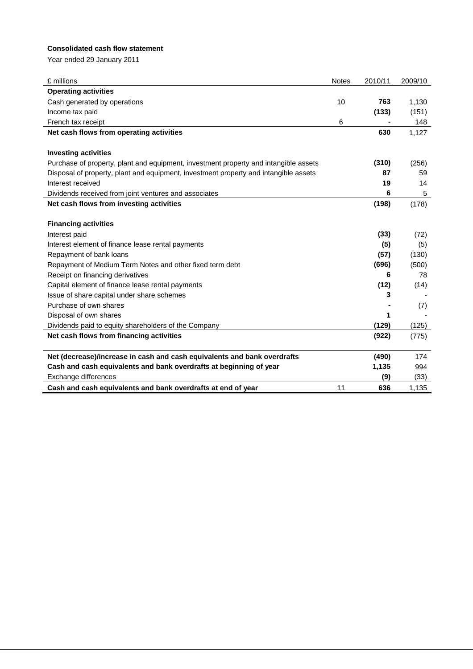#### **Consolidated cash flow statement**

Year ended 29 January 2011

| £ millions                                                                           | <b>Notes</b> | 2010/11 | 2009/10 |
|--------------------------------------------------------------------------------------|--------------|---------|---------|
| <b>Operating activities</b>                                                          |              |         |         |
| Cash generated by operations                                                         | 10           | 763     | 1,130   |
| Income tax paid                                                                      |              | (133)   | (151)   |
| French tax receipt                                                                   | 6            |         | 148     |
| Net cash flows from operating activities                                             |              | 630     | 1,127   |
|                                                                                      |              |         |         |
| <b>Investing activities</b>                                                          |              |         |         |
| Purchase of property, plant and equipment, investment property and intangible assets |              | (310)   | (256)   |
| Disposal of property, plant and equipment, investment property and intangible assets |              | 87      | 59      |
| Interest received                                                                    |              | 19      | 14      |
| Dividends received from joint ventures and associates                                |              | 6       | 5       |
| Net cash flows from investing activities                                             |              | (198)   | (178)   |
|                                                                                      |              |         |         |
| <b>Financing activities</b>                                                          |              |         |         |
| Interest paid                                                                        |              | (33)    | (72)    |
| Interest element of finance lease rental payments                                    |              | (5)     | (5)     |
| Repayment of bank loans                                                              |              | (57)    | (130)   |
| Repayment of Medium Term Notes and other fixed term debt                             |              | (696)   | (500)   |
| Receipt on financing derivatives                                                     |              | 6       | 78      |
| Capital element of finance lease rental payments                                     |              | (12)    | (14)    |
| Issue of share capital under share schemes                                           |              | 3       |         |
| Purchase of own shares                                                               |              |         | (7)     |
| Disposal of own shares                                                               |              | 1       |         |
| Dividends paid to equity shareholders of the Company                                 |              | (129)   | (125)   |
| Net cash flows from financing activities                                             |              | (922)   | (775)   |
|                                                                                      |              |         |         |
| Net (decrease)/increase in cash and cash equivalents and bank overdrafts             |              | (490)   | 174     |
| Cash and cash equivalents and bank overdrafts at beginning of year                   |              | 1,135   | 994     |
| Exchange differences                                                                 |              | (9)     | (33)    |
| Cash and cash equivalents and bank overdrafts at end of year                         | 11           | 636     | 1,135   |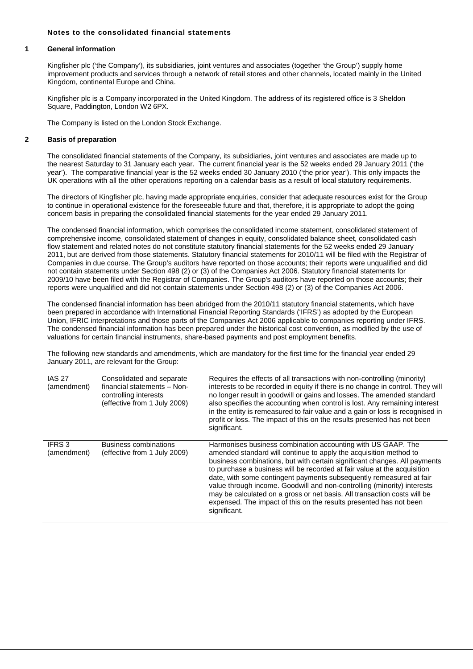#### **Notes to the consolidated financial statements**

#### **1 General information**

Kingfisher plc ('the Company'), its subsidiaries, joint ventures and associates (together 'the Group') supply home improvement products and services through a network of retail stores and other channels, located mainly in the United Kingdom, continental Europe and China.

Kingfisher plc is a Company incorporated in the United Kingdom. The address of its registered office is 3 Sheldon Square, Paddington, London W2 6PX.

The Company is listed on the London Stock Exchange.

#### **2 Basis of preparation**

The consolidated financial statements of the Company, its subsidiaries, joint ventures and associates are made up to the nearest Saturday to 31 January each year. The current financial year is the 52 weeks ended 29 January 2011 ('the year'). The comparative financial year is the 52 weeks ended 30 January 2010 ('the prior year'). This only impacts the UK operations with all the other operations reporting on a calendar basis as a result of local statutory requirements.

The directors of Kingfisher plc, having made appropriate enquiries, consider that adequate resources exist for the Group to continue in operational existence for the foreseeable future and that, therefore, it is appropriate to adopt the going concern basis in preparing the consolidated financial statements for the year ended 29 January 2011.

The condensed financial information, which comprises the consolidated income statement, consolidated statement of comprehensive income, consolidated statement of changes in equity, consolidated balance sheet, consolidated cash flow statement and related notes do not constitute statutory financial statements for the 52 weeks ended 29 January 2011, but are derived from those statements. Statutory financial statements for 2010/11 will be filed with the Registrar of Companies in due course. The Group's auditors have reported on those accounts; their reports were unqualified and did not contain statements under Section 498 (2) or (3) of the Companies Act 2006. Statutory financial statements for 2009/10 have been filed with the Registrar of Companies. The Group's auditors have reported on those accounts; their reports were unqualified and did not contain statements under Section 498 (2) or (3) of the Companies Act 2006.

The condensed financial information has been abridged from the 2010/11 statutory financial statements, which have been prepared in accordance with International Financial Reporting Standards ('IFRS') as adopted by the European Union, IFRIC interpretations and those parts of the Companies Act 2006 applicable to companies reporting under IFRS. The condensed financial information has been prepared under the historical cost convention, as modified by the use of valuations for certain financial instruments, share-based payments and post employment benefits.

The following new standards and amendments, which are mandatory for the first time for the financial year ended 29 January 2011, are relevant for the Group:

| <b>IAS 27</b><br>(amendment) | Consolidated and separate<br>financial statements - Non-<br>controlling interests<br>(effective from 1 July 2009) | Requires the effects of all transactions with non-controlling (minority)<br>interests to be recorded in equity if there is no change in control. They will<br>no longer result in goodwill or gains and losses. The amended standard<br>also specifies the accounting when control is lost. Any remaining interest<br>in the entity is remeasured to fair value and a gain or loss is recognised in<br>profit or loss. The impact of this on the results presented has not been<br>significant.                                                                                                                |
|------------------------------|-------------------------------------------------------------------------------------------------------------------|----------------------------------------------------------------------------------------------------------------------------------------------------------------------------------------------------------------------------------------------------------------------------------------------------------------------------------------------------------------------------------------------------------------------------------------------------------------------------------------------------------------------------------------------------------------------------------------------------------------|
| <b>IFRS3</b><br>(amendment)  | <b>Business combinations</b><br>(effective from 1 July 2009)                                                      | Harmonises business combination accounting with US GAAP. The<br>amended standard will continue to apply the acquisition method to<br>business combinations, but with certain significant changes. All payments<br>to purchase a business will be recorded at fair value at the acquisition<br>date, with some contingent payments subsequently remeasured at fair<br>value through income. Goodwill and non-controlling (minority) interests<br>may be calculated on a gross or net basis. All transaction costs will be<br>expensed. The impact of this on the results presented has not been<br>significant. |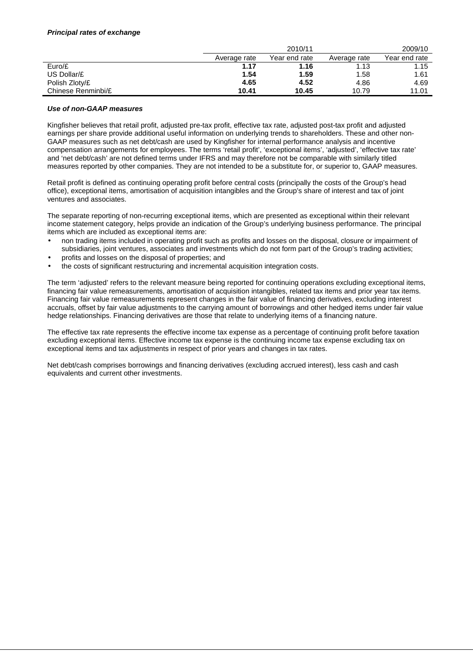#### **Principal rates of exchange**

|                    |              | 2010/11       |              | 2009/10       |
|--------------------|--------------|---------------|--------------|---------------|
|                    | Average rate | Year end rate | Average rate | Year end rate |
| Euro/E             | 1.17         | 1.16          | 1.13         | 1.15          |
| US Dollar/£        | 1.54         | 1.59          | 1.58         | 1.61          |
| Polish Zloty/£     | 4.65         | 4.52          | 4.86         | 4.69          |
| Chinese Renminbi/£ | 10.41        | 10.45         | 10.79        | 11.01         |

#### **Use of non-GAAP measures**

Kingfisher believes that retail profit, adjusted pre-tax profit, effective tax rate, adjusted post-tax profit and adjusted earnings per share provide additional useful information on underlying trends to shareholders. These and other non-GAAP measures such as net debt/cash are used by Kingfisher for internal performance analysis and incentive compensation arrangements for employees. The terms 'retail profit', 'exceptional items', 'adjusted', 'effective tax rate' and 'net debt/cash' are not defined terms under IFRS and may therefore not be comparable with similarly titled measures reported by other companies. They are not intended to be a substitute for, or superior to, GAAP measures.

Retail profit is defined as continuing operating profit before central costs (principally the costs of the Group's head office), exceptional items, amortisation of acquisition intangibles and the Group's share of interest and tax of joint ventures and associates.

The separate reporting of non-recurring exceptional items, which are presented as exceptional within their relevant income statement category, helps provide an indication of the Group's underlying business performance. The principal items which are included as exceptional items are:

- non trading items included in operating profit such as profits and losses on the disposal, closure or impairment of subsidiaries, joint ventures, associates and investments which do not form part of the Group's trading activities;
- profits and losses on the disposal of properties; and
- the costs of significant restructuring and incremental acquisition integration costs.

The term 'adjusted' refers to the relevant measure being reported for continuing operations excluding exceptional items, financing fair value remeasurements, amortisation of acquisition intangibles, related tax items and prior year tax items. Financing fair value remeasurements represent changes in the fair value of financing derivatives, excluding interest accruals, offset by fair value adjustments to the carrying amount of borrowings and other hedged items under fair value hedge relationships. Financing derivatives are those that relate to underlying items of a financing nature.

The effective tax rate represents the effective income tax expense as a percentage of continuing profit before taxation excluding exceptional items. Effective income tax expense is the continuing income tax expense excluding tax on exceptional items and tax adjustments in respect of prior years and changes in tax rates.

Net debt/cash comprises borrowings and financing derivatives (excluding accrued interest), less cash and cash equivalents and current other investments.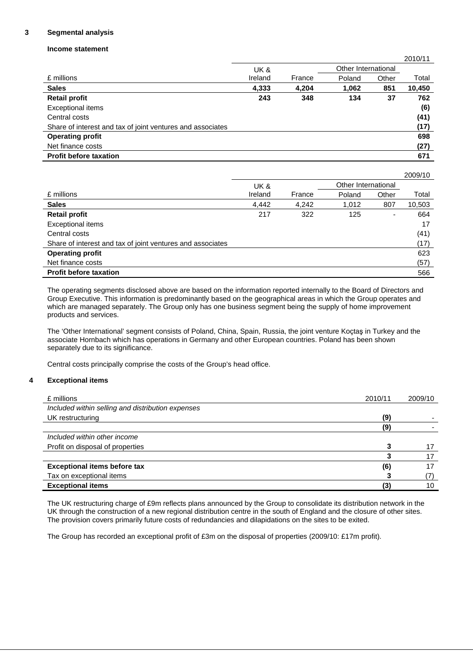#### **3 Segmental analysis**

#### **Income statement**

|                                                            |         |        |                     |       | 2010/11 |
|------------------------------------------------------------|---------|--------|---------------------|-------|---------|
|                                                            | UK &    |        | Other International |       |         |
| £ millions                                                 | Ireland | France | Poland              | Other | Total   |
| <b>Sales</b>                                               | 4,333   | 4,204  | 1,062               | 851   | 10,450  |
| <b>Retail profit</b>                                       | 243     | 348    | 134                 | 37    | 762     |
| Exceptional items                                          |         |        |                     |       | (6)     |
| Central costs                                              |         |        |                     |       | (41)    |
| Share of interest and tax of joint ventures and associates |         |        |                     |       | (17)    |
| <b>Operating profit</b>                                    |         |        |                     |       | 698     |
| Net finance costs                                          |         |        |                     |       | (27)    |
| <b>Profit before taxation</b>                              |         |        |                     |       | 671     |

|                                                            |         |        |                     |       | 2009/10 |
|------------------------------------------------------------|---------|--------|---------------------|-------|---------|
|                                                            | UK &    |        | Other International |       |         |
| £ millions                                                 | Ireland | France | Poland              | Other | Total   |
| <b>Sales</b>                                               | 4.442   | 4.242  | 1,012               | 807   | 10,503  |
| <b>Retail profit</b>                                       | 217     | 322    | 125                 | -     | 664     |
| Exceptional items                                          |         |        |                     |       | 17      |
| Central costs                                              |         |        |                     |       | (41)    |
| Share of interest and tax of joint ventures and associates |         |        |                     |       | (17)    |
| <b>Operating profit</b>                                    |         |        |                     |       | 623     |
| Net finance costs                                          |         |        |                     |       | (57)    |
| <b>Profit before taxation</b>                              |         |        |                     |       | 566     |

2009/10

The operating segments disclosed above are based on the information reported internally to the Board of Directors and Group Executive. This information is predominantly based on the geographical areas in which the Group operates and which are managed separately. The Group only has one business segment being the supply of home improvement products and services.

The 'Other International' segment consists of Poland, China, Spain, Russia, the joint venture Koçtaş in Turkey and the associate Hornbach which has operations in Germany and other European countries. Poland has been shown separately due to its significance.

Central costs principally comprise the costs of the Group's head office.

#### **4 Exceptional items**

| £ millions                                        | 2010/11 | 2009/10 |
|---------------------------------------------------|---------|---------|
| Included within selling and distribution expenses |         |         |
| UK restructuring                                  | (9)     |         |
|                                                   | (9)     |         |
| Included within other income                      |         |         |
| Profit on disposal of properties                  |         | 17      |
|                                                   |         | 17      |
| <b>Exceptional items before tax</b>               | (6)     | 17      |
| Tax on exceptional items                          |         |         |
| <b>Exceptional items</b>                          |         | 10      |

The UK restructuring charge of £9m reflects plans announced by the Group to consolidate its distribution network in the UK through the construction of a new regional distribution centre in the south of England and the closure of other sites. The provision covers primarily future costs of redundancies and dilapidations on the sites to be exited.

The Group has recorded an exceptional profit of £3m on the disposal of properties (2009/10: £17m profit).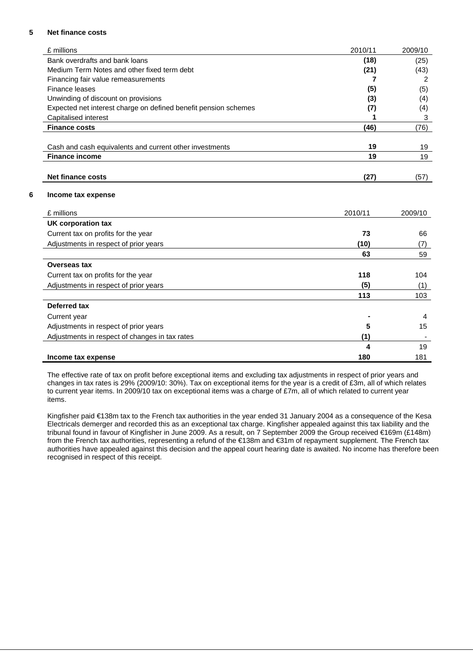#### **5 Net finance costs**

| £ millions                                                      | 2010/11 | 2009/10 |
|-----------------------------------------------------------------|---------|---------|
| Bank overdrafts and bank loans                                  | (18)    | (25)    |
| Medium Term Notes and other fixed term debt                     | (21)    | (43)    |
| Financing fair value remeasurements                             | 7       | 2       |
| Finance leases                                                  | (5)     | (5)     |
| Unwinding of discount on provisions                             | (3)     | (4)     |
| Expected net interest charge on defined benefit pension schemes | (7)     | (4)     |
| Capitalised interest                                            | 1       | 3       |
| <b>Finance costs</b>                                            | (46)    | (76)    |
| Cash and cash equivalents and current other investments         | 19      | 19      |
| <b>Finance income</b>                                           | 19      | 19      |
|                                                                 |         |         |
| <b>Net finance costs</b>                                        | (27)    | (57)    |
| Income tax expense                                              |         |         |
| £ millions                                                      | 2010/11 | 2009/10 |
| <b>UK corporation tax</b>                                       |         |         |
| Current tax on profits for the year                             | 73      | 66      |
| Adjustments in respect of prior years                           | (10)    | (7)     |
|                                                                 | 63      | 59      |
| Overseas tax                                                    |         |         |
| Current tax on profits for the year                             | 118     | 104     |
| Adjustments in respect of prior years                           | (5)     | (1)     |
|                                                                 | 113     | 103     |
| Deferred tax                                                    |         |         |
| Current year                                                    |         | 4       |
| Adjustments in respect of prior years                           | 5       | 15      |
|                                                                 |         |         |
| Adjustments in respect of changes in tax rates                  | (1)     |         |
|                                                                 | 4       | 19      |

The effective rate of tax on profit before exceptional items and excluding tax adjustments in respect of prior years and changes in tax rates is 29% (2009/10: 30%). Tax on exceptional items for the year is a credit of £3m, all of which relates to current year items. In 2009/10 tax on exceptional items was a charge of £7m, all of which related to current year items.

Kingfisher paid €138m tax to the French tax authorities in the year ended 31 January 2004 as a consequence of the Kesa Electricals demerger and recorded this as an exceptional tax charge. Kingfisher appealed against this tax liability and the tribunal found in favour of Kingfisher in June 2009. As a result, on 7 September 2009 the Group received €169m (£148m) from the French tax authorities, representing a refund of the €138m and €31m of repayment supplement. The French tax authorities have appealed against this decision and the appeal court hearing date is awaited. No income has therefore been recognised in respect of this receipt.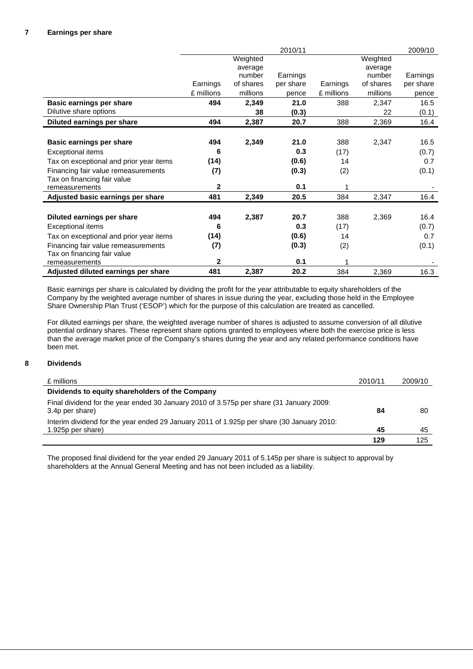|                                         |                |           | 2010/11   |            |           | 2009/10   |
|-----------------------------------------|----------------|-----------|-----------|------------|-----------|-----------|
|                                         |                | Weighted  |           |            | Weighted  |           |
|                                         |                | average   |           |            | average   |           |
|                                         |                | number    | Earnings  |            | number    | Earnings  |
|                                         | Earnings       | of shares | per share | Earnings   | of shares | per share |
|                                         | £ millions     | millions  | pence     | £ millions | millions  | pence     |
| Basic earnings per share                | 494            | 2,349     | 21.0      | 388        | 2,347     | 16.5      |
| Dilutive share options                  |                | 38        | (0.3)     |            | 22        | (0.1)     |
| Diluted earnings per share              | 494            | 2,387     | 20.7      | 388        | 2,369     | 16.4      |
|                                         |                |           |           |            |           |           |
| <b>Basic earnings per share</b>         | 494            | 2,349     | 21.0      | 388        | 2,347     | 16.5      |
| <b>Exceptional items</b>                | 6              |           | 0.3       | (17)       |           | (0.7)     |
| Tax on exceptional and prior year items | (14)           |           | (0.6)     | 14         |           | 0.7       |
| Financing fair value remeasurements     | (7)            |           | (0.3)     | (2)        |           | (0.1)     |
| Tax on financing fair value             |                |           |           |            |           |           |
| remeasurements                          | 2              |           | 0.1       |            |           |           |
| Adjusted basic earnings per share       | 481            | 2,349     | 20.5      | 384        | 2,347     | 16.4      |
|                                         |                |           |           |            |           |           |
| Diluted earnings per share              | 494            | 2,387     | 20.7      | 388        | 2,369     | 16.4      |
| <b>Exceptional items</b>                | 6              |           | 0.3       | (17)       |           | (0.7)     |
| Tax on exceptional and prior year items | (14)           |           | (0.6)     | 14         |           | 0.7       |
| Financing fair value remeasurements     | (7)            |           | (0.3)     | (2)        |           | (0.1)     |
| Tax on financing fair value             |                |           |           |            |           |           |
| remeasurements                          | $\overline{2}$ |           | 0.1       |            |           |           |
| Adjusted diluted earnings per share     | 481            | 2,387     | 20.2      | 384        | 2,369     | 16.3      |

Basic earnings per share is calculated by dividing the profit for the year attributable to equity shareholders of the Company by the weighted average number of shares in issue during the year, excluding those held in the Employee Share Ownership Plan Trust ('ESOP') which for the purpose of this calculation are treated as cancelled.

For diluted earnings per share, the weighted average number of shares is adjusted to assume conversion of all dilutive potential ordinary shares. These represent share options granted to employees where both the exercise price is less than the average market price of the Company's shares during the year and any related performance conditions have been met.

#### **8 Dividends**

| £ millions                                                                                                 | 2010/11 | 2009/10 |
|------------------------------------------------------------------------------------------------------------|---------|---------|
| Dividends to equity shareholders of the Company                                                            |         |         |
| Final dividend for the year ended 30 January 2010 of 3.575p per share (31 January 2009:<br>3.4p per share) | 84      | 80      |
| Interim dividend for the year ended 29 January 2011 of 1.925p per share (30 January 2010:                  |         |         |
| 1.925p per share)                                                                                          | 45      | 45      |
|                                                                                                            | 129     | 125     |

The proposed final dividend for the year ended 29 January 2011 of 5.145p per share is subject to approval by shareholders at the Annual General Meeting and has not been included as a liability.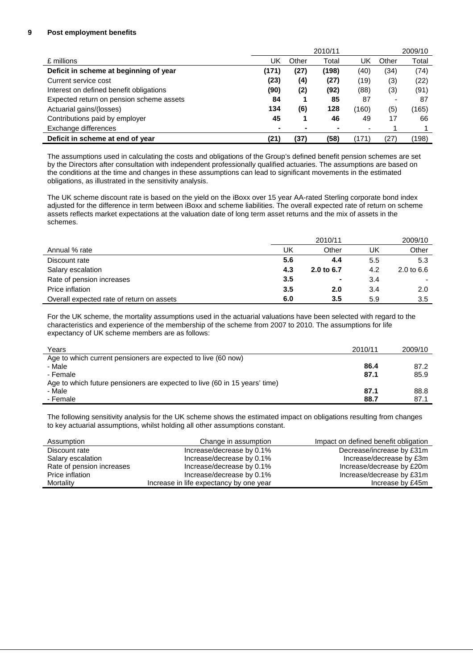#### **9 Post employment benefits**

|                                          |       |       | 2010/11        |                          |                          | 2009/10 |
|------------------------------------------|-------|-------|----------------|--------------------------|--------------------------|---------|
| £ millions                               | UK    | Other | Total          | UK                       | Other                    | Total   |
| Deficit in scheme at beginning of year   | (171) | (27)  | (198)          | (40)                     | (34)                     | (74)    |
| Current service cost                     | (23)  | (4)   | (27)           | (19)                     | (3)                      | (22)    |
| Interest on defined benefit obligations  | (90)  | (2)   | (92)           | (88)                     | (3)                      | (91)    |
| Expected return on pension scheme assets | 84    |       | 85             | 87                       | $\overline{\phantom{0}}$ | 87      |
| Actuarial gains/(losses)                 | 134   | (6)   | 128            | (160)                    | (5)                      | (165)   |
| Contributions paid by employer           | 45    |       | 46             | 49                       | 17                       | 66      |
| Exchange differences                     |       |       | $\blacksquare$ | $\overline{\phantom{a}}$ |                          |         |
| Deficit in scheme at end of year         | (21)  | (37)  | (58)           | (171)                    | '27                      | (198)   |

The assumptions used in calculating the costs and obligations of the Group's defined benefit pension schemes are set by the Directors after consultation with independent professionally qualified actuaries. The assumptions are based on the conditions at the time and changes in these assumptions can lead to significant movements in the estimated obligations, as illustrated in the sensitivity analysis.

The UK scheme discount rate is based on the yield on the iBoxx over 15 year AA-rated Sterling corporate bond index adjusted for the difference in term between iBoxx and scheme liabilities. The overall expected rate of return on scheme assets reflects market expectations at the valuation date of long term asset returns and the mix of assets in the schemes.

|                                           |     | 2010/11        |     | 2009/10               |
|-------------------------------------------|-----|----------------|-----|-----------------------|
| Annual % rate                             | UK  | Other          | UK  | Other                 |
| Discount rate                             | 5.6 | 4.4            | 5.5 | 5.3                   |
| Salary escalation                         | 4.3 | 2.0 to 6.7     | 4.2 | $2.0 \text{ to } 6.6$ |
| Rate of pension increases                 | 3.5 | $\blacksquare$ | 3.4 |                       |
| Price inflation                           | 3.5 | 2.0            | 3.4 | 2.0                   |
| Overall expected rate of return on assets | 6.0 | 3.5            | 5.9 | 3.5                   |

For the UK scheme, the mortality assumptions used in the actuarial valuations have been selected with regard to the characteristics and experience of the membership of the scheme from 2007 to 2010. The assumptions for life expectancy of UK scheme members are as follows:

| Years                                                                      | 2010/11 | 2009/10 |
|----------------------------------------------------------------------------|---------|---------|
| Age to which current pensioners are expected to live (60 now)              |         |         |
| - Male                                                                     | 86.4    | 87.2    |
| - Female                                                                   | 87.1    | 85.9    |
| Age to which future pensioners are expected to live (60 in 15 years' time) |         |         |
| - Male                                                                     | 87.1    | 88.8    |
| - Female                                                                   | 88.7    | 87.1    |

The following sensitivity analysis for the UK scheme shows the estimated impact on obligations resulting from changes to key actuarial assumptions, whilst holding all other assumptions constant.

| Assumption                | Change in assumption                    | Impact on defined benefit obligation |
|---------------------------|-----------------------------------------|--------------------------------------|
| Discount rate             | Increase/decrease by 0.1%               | Decrease/increase by £31m            |
| Salary escalation         | Increase/decrease by 0.1%               | Increase/decrease by £3m             |
| Rate of pension increases | Increase/decrease by 0.1%               | Increase/decrease by £20m            |
| Price inflation           | Increase/decrease by 0.1%               | Increase/decrease by £31m            |
| Mortality                 | Increase in life expectancy by one year | Increase by £45m                     |